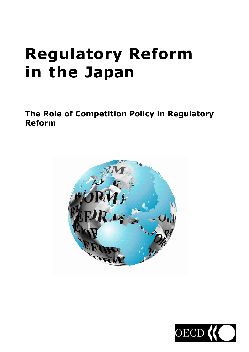# **Regulatory Reform** in the Japan

# The Role of Competition Policy in Regulatory **Reform**



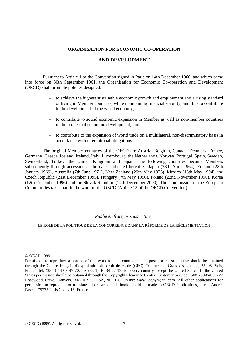#### **ORGANISATION FOR ECONOMIC CO-OPERATION**

#### **AND DEVELOPMENT**

 Pursuant to Article 1 of the Convention signed in Paris on 14th December 1960, and which came into force on 30th September 1961, the Organisation for Economic Co-operation and Development (OECD) shall promote policies designed:

- to achieve the highest sustainable economic growth and employment and a rising standard of living in Member countries, while maintaining financial stability, and thus to contribute to the development of the world economy;
- to contribute to sound economic expansion in Member as well as non-member countries in the process of economic development; and
- to contribute to the expansion of world trade on a multilateral, non-discriminatory basis in accordance with international obligations.

 The original Member countries of the OECD are Austria, Belgium, Canada, Denmark, France, Germany, Greece, Iceland, Ireland, Italy, Luxembourg, the Netherlands, Norway, Portugal, Spain, Sweden, Switzerland, Turkey, the United Kingdom and Japan. The following countries became Members subsequently through accession at the dates indicated hereafter: Japan (28th April 1964), Finland (28th January 1969), Australia (7th June 1971), New Zealand (29th May 1973), Mexico (18th May 1994), the Czech Republic (21st December 1995), Hungary (7th May 1996), Poland (22nd November 1996), Korea (12th December 1996) and the Slovak Republic (14th December 2000). The Commission of the European Communities takes part in the work of the OECD (Article 13 of the OECD Convention).

#### *Publié en français sous le titre:*

#### LE ROLE DE LA POLITIQUE DE LA CONCURRENCE DANS LA RÉFORME DE LA RÉGLEMENTATION

#### © OECD 1999.

Permission to reproduce a portion of this work for non-commercial purposes or classroom use should be obtained through the Centre français d'exploitation du droit de copie (CFC), 20, rue des Grands-Augustins, 75006 Paris, France, tel. (33-1) 44 07 47 70, fax (33-1) 46 34 67 19, for every country except the United States. In the United States permission should be obtained through the Copyright Clearance Center, Customer Service, (508)750-8400, 222 Rosewood Drive, Danvers, MA 01923 USA, or CCC Online: *www. copyright. co*m. All other applications for permission to reproduce or translate all or part of this book should be made to OECD Publications, 2, rue André-Pascal, 75775 Paris Cedex 16, France.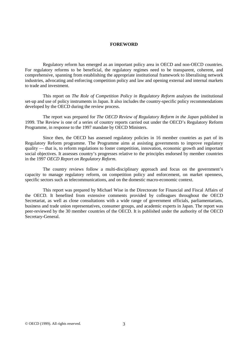#### **FOREWORD**

 Regulatory reform has emerged as an important policy area in OECD and non-OECD countries. For regulatory reforms to be beneficial, the regulatory regimes need to be transparent, coherent, and comprehensive, spanning from establishing the appropriate institutional framework to liberalising network industries, advocating and enforcing competition policy and law and opening external and internal markets to trade and investment.

 This report on *The Role of Competition Policy in Regulatory Reform* analyses the institutional set-up and use of policy instruments in Japan. It also includes the country-specific policy recommendations developed by the OECD during the review process.

 The report was prepared for *The OECD Review of Regulatory Reform in the Japan* published in 1999. The Review is one of a series of country reports carried out under the OECD's Regulatory Reform Programme, in response to the 1997 mandate by OECD Ministers.

 Since then, the OECD has assessed regulatory policies in 16 member countries as part of its Regulatory Reform programme. The Programme aims at assisting governments to improve regulatory quality — that is, to reform regulations to foster competition, innovation, economic growth and important social objectives. It assesses country's progresses relative to the principles endorsed by member countries in the 1997 *OECD Report on Regulatory Reform*.

 The country reviews follow a multi-disciplinary approach and focus on the government's capacity to manage regulatory reform, on competition policy and enforcement, on market openness, specific sectors such as telecommunications, and on the domestic macro-economic context.

 This report was prepared by Michael Wise in the Directorate for Financial and Fiscal Affairs of the OECD. It benefited from extensive comments provided by colleagues throughout the OECD Secretariat, as well as close consultations with a wide range of government officials, parliamentarians, business and trade union representatives, consumer groups, and academic experts in Japan. The report was peer-reviewed by the 30 member countries of the OECD. It is published under the authority of the OECD Secretary-General.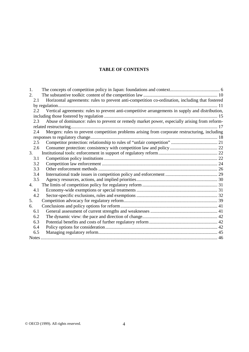# **TABLE OF CONTENTS**

| 1.  |                                                                                                 |
|-----|-------------------------------------------------------------------------------------------------|
| 2.  |                                                                                                 |
| 2.1 | Horizontal agreements: rules to prevent anti-competition co-ordination, including that fostered |
|     |                                                                                                 |
| 2.2 | Vertical agreements: rules to prevent anti-competitive arrangements in supply and distribution, |
|     |                                                                                                 |
| 2.3 | Abuse of dominance: rules to prevent or remedy market power, especially arising from reform-    |
|     |                                                                                                 |
| 2.4 | Mergers: rules to prevent competition problems arising from corporate restructuring, including  |
|     |                                                                                                 |
| 2.5 |                                                                                                 |
| 2.6 |                                                                                                 |
| 3.  |                                                                                                 |
| 3.1 |                                                                                                 |
| 3.2 |                                                                                                 |
| 3.3 |                                                                                                 |
| 3.4 |                                                                                                 |
| 3.5 |                                                                                                 |
| 4.  |                                                                                                 |
| 4.1 |                                                                                                 |
| 4.2 |                                                                                                 |
| 5.  |                                                                                                 |
| 6.  |                                                                                                 |
| 6.1 |                                                                                                 |
| 6.2 |                                                                                                 |
| 6.3 |                                                                                                 |
| 6.4 |                                                                                                 |
| 6.5 |                                                                                                 |
|     |                                                                                                 |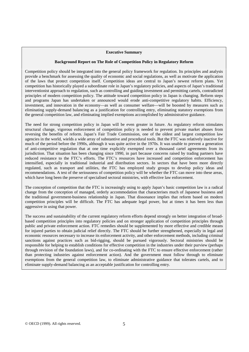#### **Executive Summary**

#### **Background Report on The Role of Competition Policy in Regulatory Reform**

Competition policy should be integrated into the general policy framework for regulation. Its principles and analysis provide a benchmark for assessing the quality of economic and social regulations, as well as motivate the application of the laws that protect competition itself. Competition ideas are central to Japan's newest reform plans. Yet competition has historically played a subordinate role in Japan's regulatory policies, and aspects of Japan's traditional interventionist approach to regulation, such as controlling and guiding investment and permitting cartels, contradicted principles of modern competition policy. The attitude toward competition policy in Japan is changing. Reform steps and programs Japan has undertaken or announced would erode anti-competitive regulatory habits. Efficiency, investment, and innovation in the economy—as well as consumer welfare—will be boosted by measures such as eliminating supply-demand balancing as a justification for controlling entry, eliminating statutory exemptions from the general competition law, and eliminating implied exemptions accomplished by administrative guidance.

The need for strong competition policy in Japan will be even greater in future. As regulatory reform stimulates structural change, vigorous enforcement of competition policy is needed to prevent private market abuses from reversing the benefits of reform. Japan's Fair Trade Commission, one of the oldest and largest competition law agencies in the world, wields a wide array of substantive and procedural tools. But the FTC was relatively inactive for much of the period before the 1990s, although it was quite active in the 1970s. It was unable to prevent a generation of anti-competitive regulation that at one time explicitly exempted over a thousand cartel agreements from its jurisdiction. That situation has been changing since 1990, in part because concerns raised by trading partners have reduced resistance to the FTC's efforts. The FTC's resources have increased and competition enforcement has intensified, especially in traditional industrial and distribution sectors. In sectors that have been more directly regulated, such as transport and utilities, the FTC has employed study groups to develop policy ideas and recommendations. A test of the seriousness of competition policy will be whether the FTC can move into these areas, which have long been the preserve of specialised sectoral ministries, with effective law enforcement.

The conception of competition that the FTC is increasingly using to apply Japan's basic competition law is a radical change from the conception of managed, orderly accommodation that characterises much of Japanese business and the traditional government-business relationship in Japan. That dissonance implies that reform based on modern competition principles will be difficult. The FTC has adequate legal power, but at times it has been less than aggressive in using that power.

The success and sustainability of the current regulatory reform efforts depend strongly on better integration of broadbased competition principles into regulatory policies and on stronger application of competition principles through public and private enforcement action. FTC remedies should be supplemented by more effective and credible means for injured parties to obtain judicial relief directly. The FTC should be further strengthened, especially in legal and economic resources necessary to increase its enforcement activity, and other enforcement methods, including criminal sanctions against practices such as bid-rigging, should be pursued vigorously. Sectoral ministries should be responsible for helping to establish conditions for effective competition in the industries under their purview (perhaps through revision of the foundation laws), and for co-ordinating with the FTC to ensure effective enforcement (rather than protecting industries against enforcement action). And the government must follow through to eliminate exemptions from the general competition law, to eliminate administrative guidance that tolerates cartels, and to eliminate supply-demand balancing as an acceptable justification for controlling entry.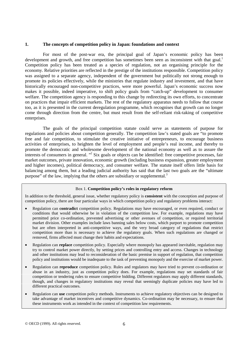#### **1. The concepts of competition policy in Japan: foundations and context**

 For most of the post-war era, the principal goal of Japan's economic policy has been development and growth, and free competition has sometimes been seen as inconsistent with that goal.<sup>1</sup> Competition policy has been treated as a species of regulation, not an organising principle for the economy. Relative priorities are reflected in the prestige of the institutions responsible. Competition policy was assigned to a separate agency, independent of the government but politically not strong enough to promote its policies effectively, while the ministries that regulate industry and investment, and that have historically encouraged non-competitive practices, were more powerful. Japan's economic success now makes it possible, indeed imperative, to shift policy goals from "catch-up" development to consumer welfare. The competition agency is responding to this change by redirecting its own efforts, to concentrate on practices that impair efficient markets. The rest of the regulatory apparatus needs to follow that course too, as it is presented in the current deregulation programme, which recognises that growth can no longer come through direction from the centre, but must result from the self-reliant risk-taking of competitive enterprises.

 The goals of the principal competition statute could serve as statements of purpose for regulations and policies about competition generally. The competition law's stated goals are "to promote free and fair competition, to stimulate the creative initiative of entrepreneurs, to encourage business activities of enterprises, to heighten the level of employment and people's real income, and thereby to promote the democratic and wholesome development of the national economy as well as to assure the interests of consumers in general. "2 Six goals or objects can be identified: free competitive processes, fair market outcomes, private innovation, economic growth (including business expansion, greater employment and higher incomes), political democracy, and consumer welfare. The statute itself offers little basis for balancing among them, but a leading judicial authority has said that the last two goals are the "ultimate purpose" of the law, implying that the others are subsidiary or supplemental.<sup>3</sup>

#### Box 1. **Competition policy's roles in regulatory reform**

In addition to the threshold, general issue, whether regulatory policy is **consistent** with the conception and purpose of competition policy, there are four particular ways in which competition policy and regulatory problems interact:

- - Regulation can **contradict** competition policy. Regulations may have encouraged, or even required, conduct or conditions that would otherwise be in violation of the competition law. For example, regulations may have permitted price co-ordination, prevented advertising or other avenues of competition, or required territorial market division. Other examples include laws banning sales below costs, which purport to promote competition but are often interpreted in anti-competitive ways, and the very broad category of regulations that restrict competition more than is necessary to achieve the regulatory goals. When such regulations are changed or removed, firms affected must change their habits and expectations.
- $\bullet$  Regulation can **replace** competition policy. Especially where monopoly has appeared inevitable, regulation may try to control market power directly, by setting prices and controlling entry and access. Changes in technology and other institutions may lead to reconsideration of the basic premise in support of regulation, that competition policy and institutions would be inadequate to the task of preventing monopoly and the exercise of market power.
- $\bullet$  Regulation can **reproduce** competition policy. Rules and regulators may have tried to prevent co-ordination or abuse in an industry, just as competition policy does. For example, regulations may set standards of fair competition or tendering rules to ensure competitive bidding. Different regulators may apply different standards, though, and changes in regulatory institutions may reveal that seemingly duplicate policies may have led to different practical outcomes.
- $\bullet$  Regulation can **use** competition policy methods. Instruments to achieve regulatory objectives can be designed to take advantage of market incentives and competitive dynamics. Co-ordination may be necessary, to ensure that these instruments work as intended in the context of competition law requirements.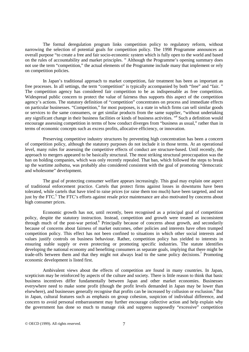The formal deregulation program links competition policy to regulatory reform, without narrowing the selection of potential goals for competition policy. The 1998 Programme announces an overall purpose "to create a free and fair socio-economic system which is fully open to the world and based on the rules of accountability and market principles. " Although the Programme's opening summary does not use the term "competition," the actual elements of the Programme include many that implement or rely on competition policies.

 In Japan's traditional approach to market competition, fair treatment has been as important as free processes. In all settings, the term "competition" is typically accompanied by both "free" and "fair. " The competition agency has considered fair competition to be as indispensable as free competition. Widespread public concern to protect the value of fairness thus supports this aspect of the competition agency's actions. The statutory definition of "competition" concentrates on process and immediate effects on particular businesses. "Competition," for most purposes, is a state in which firms can sell similar goods or services to the same consumers, or get similar products from the same supplier, "without undertaking any significant change in their business facilities or kinds of business activities.<sup>"4</sup> Such a definition would encourage assessing competition in terms of how conduct diverges from "business as usual," rather than in terms of economic concepts such as excess profits, allocative efficiency, or innovation.

 Preserving competitive industry structures by preventing high concentration has been a concern of competition policy, although the statutory purposes do not include it in those terms. At an operational level, many rules for assessing the competitive effects of conduct are structure-based. Until recently, the approach to mergers appeared to be basically structural. The most striking structural preoccupation was the ban on holding companies, which was only recently repealed. That ban, which followed the steps to break up the wartime *zaibatsu*, was probably also considered consistent with the goal of promoting "democratic and wholesome" development.

 The goal of protecting consumer welfare appears increasingly. This goal may explain one aspect of traditional enforcement practice. Cartels that protect firms against losses in downturns have been tolerated, while cartels that have tried to raise prices (or raise them too much) have been targeted, and not just by the FTC.<sup>5</sup> The FTC's efforts against resale price maintenance are also motivated by concerns about high consumer prices.

 Economic growth has not, until recently, been recognised as a principal goal of competition policy, despite the statutory instruction. Instead, competition and growth were treated as inconsistent through much of the post-war period.<sup>6</sup> Principally because of concerns about growth, and secondarily because of concerns about fairness of market outcomes, other policies and interests have often trumped competition policy. This effect has not been confined to situations in which other social interests and values justify controls on business behaviour. Rather, competition policy has yielded to interests in ensuring stable supply or even protecting or promoting specific industries. The statute identifies developing the national economy and benefiting consumers as separate goals, implying that there might be trade-offs between them and that they might not always lead to the same policy decisions.<sup>7</sup> Promoting economic development is listed first.

 Ambivalent views about the effects of competition are found in many countries. In Japan, scepticism may be reinforced by aspects of the culture and society. There is little reason to think that basic business incentives differ fundamentally between Japan and other market economies. Businesses everywhere need to make some profit (though the profit levels demanded in Japan may be lower than elsewhere), and businesses generally recognise that profits can be increased by collusion or exclusion.<sup>8</sup> But in Japan, cultural features such as emphasis on group cohesion, suspicion of individual difference, and concern to avoid personal embarrassment may further encourage collective action and help explain why the government has done so much to manage risk and suppress supposedly "excessive" competition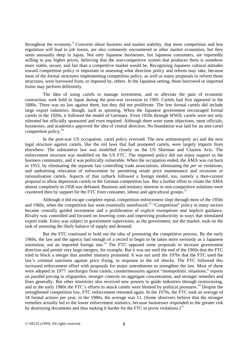throughout the economy.<sup>9</sup> Concerns about business and market stability, that more competition and less regulation will lead to job losses, are also commonly encountered in other market economies, but they seem unusually deep in Japan. Not only Japanese businesses, but Japanese consumers, are reportedly willing to pay higher prices, believing that the non-competitive system that produces them is somehow more stable, secure, and fair than a competitive market would be. Recognising Japanese cultural attitudes toward competition policy is important in assessing what direction policy and reform may take, because most of the formal structures implementing competition policy, as well as many proposals to reform those structures, were borrowed from, or imposed by, others. In the Japanese setting, those borrowed or imported forms may perform differently.

 The idea of using cartels to manage investment, and to alleviate the pain of economic contraction, took hold in Japan during the post-war recession in 1905. Cartels had first appeared in the 1880s. There was no law against them, but they did not proliferate. The few formal cartels did include large export industries, though, such as spinning. When the Japanese government encouraged formal cartels in the 1920s, it followed the model of Germany. From 1920s through WWII, cartels were not only tolerated but officially sponsored and even required. Although there were some objections, most officials, businesses, and academics approved the idea of central direction. No foundation was laid for an anti-cartel competition policy.<sup>10</sup>

 In the post-war US occupation, cartel policy reversed. The new antimonopoly act and the new legal structure against cartels, like the old laws that had promoted cartels, were largely imports from elsewhere. The substantive law was modelled closely on the US Sherman and Clayton Acts. The enforcement structure was modelled on the US FTC. The imported policy did not enjoy support in the business community, and it was politically vulnerable. When the occupation ended, the AMA was cut back in 1953, by eliminating the separate law controlling trade associations, eliminating the *per se* violations, and authorising relaxation of enforcement by permitting resale price maintenance and recession or rationalisation cartels. Aspects of that cutback followed a foreign model, too, namely a then-current proposal to allow depression cartels in the German competition law. But a further effort to vitiate the AMA almost completely in 1958 was defeated. Business and ministry interests in non-competitive solutions were countered then by support for the FTC from consumer, labour and agricultural groups.<sup>11</sup>

 Although it did escape complete repeal, competition enforcement slept through most of the 1950s and 1960s, when the competition law went essentially unenforced.<sup>12</sup> "Competition" policy in many sectors became centrally guided investment and a proliferation of explicit exemptions and implicit guidance. Rivalry was controlled and focused on lowering costs and improving productivity in ways that stimulated export trade. Entry was subject to government supervision, as the government, not the market, took on the task of assessing the likely balance of supply and demand.

 But the FTC continued to hold out the idea of promoting the competitive process. By the early 1960s, the law and the agency had enough of a record to begin to be taken more seriously as a Japanese institution, not an imported foreign one.<sup>13</sup> The FTC opposed some proposals to increase government direction and permit very large mergers, for example. But it was not until the end of the 1960s that the FTC tried to block a merger that another ministry promoted. It was not until the 1970s that the FTC used the law's criminal sanctions against price fixing, in response to the oil shocks. The FTC followed this increased enforcement effort with proposals for major amendments to strengthen the law. Most of these were adopted in 1977: surcharges from cartels, countermeasures against "monopolistic situations," reports on parallel pricing in oligopolies, stronger controls on aggregate concentration, and stronger remedies and fines generally. But other ministries also received new powers to guide industries through restructuring, and in the early 1980s the FTC's efforts to attack cartels were blunted by political pressures.<sup>14</sup> Despite the strengthened competition law, FTC enforcement retreated again. In the 1970s, the FTC took an average of 34 formal actions per year; in the 1980s, the average was 11. (Some observers believe that the stronger remedies actually led to the lower enforcement statistics, because businesses responded to the greater risk by destroying documents and thus making it harder for the FTC to prove violations.)<sup>15</sup>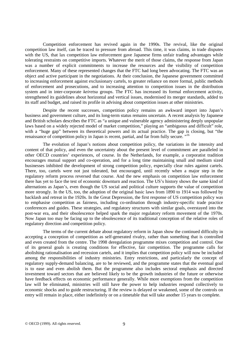Competition enforcement has revived again in the 1990s. The revival, like the original competition law itself, can be traced to pressure from abroad. This time, it was claims, in trade disputes with the US, that lax competition law enforcement gave Japanese firms unfair trading advantages while tolerating restraints on competitive imports. Whatever the merit of those claims, the response from Japan was a number of explicit commitments to increase the resources and the visibility of competition enforcement. Many of these represented changes that the FTC had long been advocating. The FTC was an object and active participant in the negotiations. At their conclusion, the Japanese government committed to increasing enforcement against exclusionary cartels, to greater reliance on more formal, public methods of enforcement and prosecutions, and to increasing attention to competition issues in the distribution system and in inter-corporate *keiretsu* groups. The FTC has increased its formal enforcement activity, strengthened its guidelines about horizontal and vertical issues, modernised its merger standards, added to its staff and budget, and raised its profile in advising about competition issues at other ministries.

 Despite the recent successes, competition policy remains an awkward import into Japan's business and government culture, and its long-term status remains uncertain. A recent analysis by Japanese and British scholars describes the FTC as "a unique and vulnerable agency administering deeply unpopular laws based on a widely rejected model of market competition," playing an "ambiguous and difficult" role, with a "huge gap" between its theoretical powers and its actual practice. The gap is closing, but "the renaissance of competition policy in Japan is recent, partial, and far from fully secure.<sup>"16</sup>

 The evolution of Japan's notions about competition policy, the variations in the intensity and content of that policy, and even the uncertainty about the present level of commitment are paralleled in other OECD countries' experiences, of course. In the Netherlands, for example, a corporatist tradition encourages mutual support and co-operation, and for a long time maintaining small and medium sized businesses inhibited the development of strong competition policy, especially clear rules against cartels. There, too, cartels were not just tolerated, but encouraged, until recently when a major step in the regulatory reform process reversed that course. And the new emphasis on competition law enforcement there has yet to face the test of economic downturn and reaction. The US's history shows the same kind of alternations as Japan's, even though the US social and political culture supports the value of competition more strongly. In the US, too, the adoption of the original basic laws from 1890 to 1914 was followed by backlash and retreat in the 1920s. In the Great Depression, the first response of US competition policy was to emphasise competition as fairness, including co-ordination through industry-specific trade practice conferences and guides. These strategies, and regulatory structures with similar goals, overstayed into the post-war era, and their obsolescence helped spark the major regulatory reform movement of the 1970s. Now Japan too may be facing up to the obsolescence of its traditional conception of the relative roles of regulatory direction and competition policy.

 The terms of the current debate about regulatory reform in Japan show the continued difficulty in accepting a conception of competition as self-generated rivalry, rather than something that is controlled and even created from the centre. The 1998 deregulation programme mixes competition and control. One of its general goals is creating conditions for effective, fair competition. The programme calls for abolishing rationalisation and recession cartels, and it implies that competition policy will now be included among the responsibilities of industry ministries. Entry restrictions, and particularly the concept of regulatory supply-demand balancing, are to be reviewed, and the programme states that the eventual goal is to ease and even abolish them. But the programme also includes sectoral emphasis and directed investment toward sectors that are believed likely to be the growth industries of the future or otherwise have feedback effects on economic performance generally. While more exemptions from the competition law will be eliminated, ministries will still have the power to help industries respond collectively to economic shocks and to guide restructuring. If the review is delayed or weakened, some of the controls on entry will remain in place, either indefinitely or on a timetable that will take another 15 years to complete.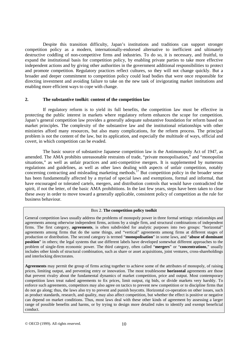Despite this transition difficulty, Japan's institutions and traditions can support stronger competition policy as a modern, internationally-endorsed alternative to inefficient and ultimately destructive coddling of non-competitive firms and industries. To do so, it is necessary, and fruitful, to expand the institutional basis for competition policy, by enabling private parties to take more effective independent actions and by giving other authorities in the government additional responsibilities to protect and promote competition. Regulatory practices reflect cultures, so they will not change quickly. But a broader and deeper commitment to competition policy could lead bodies that were once responsible for directing investment and avoiding failure to take on the new task of invigorating market institutions and enabling more efficient ways to cope with change.

#### **2. The substantive toolkit: content of the competition law**

 If regulatory reform is to yield its full benefits, the competition law must be effective in protecting the public interest in markets where regulatory reform enhances the scope for competition. Japan's general competition law provides a generally adequate substantive foundation for reform based on market principles. The complexity of the substantive law and the institutional relationships with other ministries afford many resources, but also many complications, for the reform process. The principal problem is not the content of the law, but its application, and especially the multitude of ways, official and covert, in which competition can be evaded.

 The basic source of substantive Japanese competition law is the Antimonopoly Act of 1947, as amended. The AMA prohibits unreasonable restraints of trade, "private monopolisation," and "monopolist situations," as well as unfair practices and anti-competitive mergers. It is supplemented by numerous regulations and guidelines, as well as other laws dealing with aspects of unfair competition, notably concerning contracting and misleading marketing methods.<sup>17</sup> But competition policy in the broader sense has been fundamentally affected by a myriad of special laws and exemptions, formal and informal, that have encouraged or tolerated cartels, mergers, and distribution controls that would have contradicted the spirit, if not the letter, of the basic AMA prohibitions. In the last few years, steps have been taken to clear these away in order to move toward a generally applicable, consistent policy of competition as the rule for business behaviour.

#### Box 2. **The competition policy toolkit**

General competition laws usually address the problems of monopoly power in three formal settings: relationships and agreements among otherwise independent firms, actions by a single firm, and structural combinations of independent firms. The first category, **agreements**, is often subdivided for analytic purposes into two groups: "horizontal" agreements among firms that do the same things, and "vertical" agreements among firms at different stages of production or distribution. The second category is termed "**monopolisation**" in some laws, and "**abuse of dominant position**" in others; the legal systems that use different labels have developed somewhat different approaches to the problem of single-firm economic power. The third category, often called "**mergers**" or "**concentrations**," usually includes other kinds of structural combination, such as share or asset acquisitions, joint ventures, cross-shareholdings and interlocking directorates.

**Agreements** may permit the group of firms acting together to achieve some of the attributes of monopoly, of raising prices, limiting output, and preventing entry or innovation. The most troublesome **horizontal** agreements are those that prevent rivalry about the fundamental dynamics of market competition, price and output. Most contemporary competition laws treat naked agreements to fix prices, limit output, rig bids, or divide markets very harshly. To enforce such agreements, competitors may also agree on tactics to prevent new competition or to discipline firms that do not go along; thus, the laws also try to prevent and punish boycotts. Horizontal co-operation on other issues, such as product standards, research, and quality, may also affect competition, but whether the effect is positive or negative can depend on market conditions. Thus, most laws deal with these other kinds of agreement by assessing a larger range of possible benefits and harms, or by trying to design more detailed rules to identify and exempt beneficial conduct.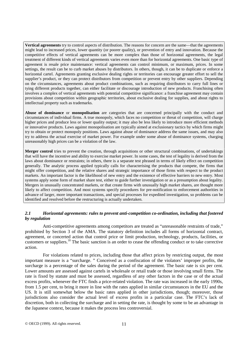**Vertical agreements** try to control aspects of distribution. The reasons for concern are the same—that the agreements might lead to increased prices, lower quantity (or poorer quality), or prevention of entry and innovation. Because the competitive effects of vertical agreements can be more complex than those of horizontal agreements, the legal treatment of different kinds of vertical agreements varies even more than for horizontal agreements. One basic type of agreement is resale price maintenance: vertical agreements can control minimum, or maximum, prices. In some settings, the result can be to curb market abuses by distributors. In others, though, it can be to duplicate or enforce a horizontal cartel. Agreements granting exclusive dealing rights or territories can encourage greater effort to sell the supplier's product, or they can protect distributors from competition or prevent entry by other suppliers. Depending on the circumstances, agreements about product combinations, such as requiring distributors to carry full lines or tying different products together, can either facilitate or discourage introduction of new products. Franchising often involves a complex of vertical agreements with potential competitive significance: a franchise agreement may contain provisions about competition within geographic territories, about exclusive dealing for supplies, and about rights to intellectual property such as trademarks.

**Abuse of dominance** or **monopolisation** are categories that are concerned principally with the conduct and circumstances of individual firms. A true monopoly, which faces no competition or threat of competition, will charge higher prices and produce less or lower quality output; it may also be less likely to introduce more efficient methods or innovative products. Laws against monopolisation are typically aimed at exclusionary tactics by which firms might try to obtain or protect monopoly positions. Laws against abuse of dominance address the same issues, and may also try to address the actual exercise of market power. For example under some abuse of dominance systems, charging unreasonably high prices can be a violation of the law.

**Merger control** tries to prevent the creation, through acquisitions or other structural combinations, of undertakings that will have the incentive and ability to exercise market power. In some cases, the test of legality is derived from the laws about dominance or restraints; in others, there is a separate test phrased in terms of likely effect on competition generally. The analytic process applied typically calls for characterising the products that compete, the firms that might offer competition, and the relative shares and strategic importance of those firms with respect to the product markets. An important factor is the likelihood of new entry and the existence of effective barriers to new entry. Most systems apply some form of market share test, either to guide further investigation or as a presumption about legality. Mergers in unusually concentrated markets, or that create firms with unusually high market shares, are thought more likely to affect competition. And most systems specify procedures for pre-notification to enforcement authorities in advance of larger, more important transactions, and special processes for expedited investigation, so problems can be identified and resolved before the restructuring is actually undertaken.

# *2.1 Horizontal agreements: rules to prevent anti-competition co-ordination, including that fostered by regulation*

 Anti-competitive agreements among competitors are treated as "unreasonable restraints of trade," prohibited by Section 3 of the AMA. The statutory definition includes all forms of horizontal contract, agreement, or concerted action that control price or limit production, technology, products, facilities, or customers or suppliers.18 The basic sanction is an order to cease the offending conduct or to take corrective action.

 For violations related to prices, including those that affect prices by restricting output, the most important measure is a "surcharge. " Conceived as a confiscation of the violators' improper profits, the surcharge is a percentage of the sales during the period of the agreement. The basic rate is six per cent. Lower amounts are assessed against cartels in wholesale or retail trade or those involving small firms. The rate is fixed by statute and must be assessed, regardless of any other factors in the case or of the actual excess profits, whenever the FTC finds a price-related violation. The rate was increased in the early 1990s, from 1.5 per cent, to bring it more in line with the rates applied in similar circumstances in the EU and the US. It is still somewhat below the basic rates applied in other jurisdictions, though; moreover, those jurisdictions also consider the actual level of excess profits in a particular case. The FTC's lack of discretion, both in collecting the surcharge and in setting the rate, is thought by some to be an advantage in the Japanese context, because it makes the process less controversial.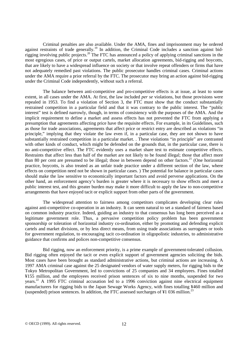Criminal penalties are also available. Under the AMA, fines and imprisonment may be ordered against restraints of trade generally.<sup>19</sup> In addition, the Criminal Code includes a sanction against bidrigging involving public projects.<sup>20</sup> The FTC has announced a policy of applying criminal sanctions in the most egregious cases, of price or output cartels, market allocation agreements, bid-rigging and boycotts, that are likely to have a widespread influence on society or that involve repeat offenders or firms that have not adequately remedied past violations. The public prosecutor handles criminal cases. Criminal actions under the AMA require a prior referral by the FTC. The prosecutor may bring an action against bid-rigging under the Criminal Code independently, without such a referral.

 The balance between anti-competitive and pro-competitive effects is at issue, at least to some extent, in all cases under the AMA. At first, the law included *per se* violations, but those provisions were repealed in 1953. To find a violation of Section 3, the FTC must show that the conduct substantially restrained competition in a particular field and that it was contrary to the public interest. The "public interest" test is defined narrowly, though, in terms of consistency with the purposes of the AMA. And the implicit requirement to define a market and assess effects has not prevented the FTC from applying a presumption that agreements affecting price have the requisite effects. For example, in its Guidelines, such as those for trade associations, agreements that affect price or restrict entry are described as violations "in principle," implying that they violate the law even if, in a particular case, they are not shown to have substantially restrained competition in a particular market. . These violations "in principle" are contrasted with other kinds of conduct, which might be defended on the grounds that, in the particular case, there is no anti-competitive effect. The FTC evidently uses a market share test to estimate competitive effects. Restraints that affect less than half of the market are not likely to be found illegal; those that affect more than 80 per cent are presumed to be illegal; those in between depend on other factors.<sup>21</sup> (One horizontal practice, boycotts, is also treated as an unfair trade practice under a different section of the law, where effects on competition need not be shown in particular cases. ) The potential for balance in particular cases should make the law sensitive to economically important factors and avoid perverse applications. On the other hand, an enforcement agency's burden is greater where it is necessary to show effects and meet a public interest test, and this greater burden may make it more difficult to apply the law to non-competitive arrangements that have enjoyed tacit or explicit support from other parts of the government.

 The widespread attention to fairness among competitors complicates developing clear rules against anti-competitive co-operation in an industry. It can seem natural to set a standard of fairness based on common industry practice. Indeed, guiding an industry to that consensus has long been perceived as a legitimate government role. Thus, a pervasive competition policy problem has been government sponsorship or toleration of horizontal industry co-ordination, either by promoting and defending explicit cartels and market divisions, or by less direct means, from using trade associations as surrogates or tools for government regulation, to encouraging tacit co-ordination in oligopolistic industries, to administrative guidance that confirms and polices non-competitive consensus.

 Bid rigging, now an enforcement priority, is a prime example of government-tolerated collusion. Bid rigging often enjoyed the tacit or even explicit support of government agencies soliciting the bids. Most cases have been brought as standard administrative actions, but criminal actions are increasing. A 1997 AMA criminal case against the 25 designated vendors of water supply meters, for rigging bids to the Tokyo Metropolitan Government, led to convictions of 25 companies and 34 employees. Fines totalled ¥155 million, and the employees received prison sentences of six to nine months, suspended for two years.22 A 1995 FTC criminal accusation led to a 1996 conviction against nine electrical equipment manufacturers for rigging bids to the Japan Sewage Works Agency, with fines totalling ¥460 million and (suspended) prison sentences. In addition, the FTC assessed surcharges of  $\frac{1}{2}$  036 million.<sup>23</sup>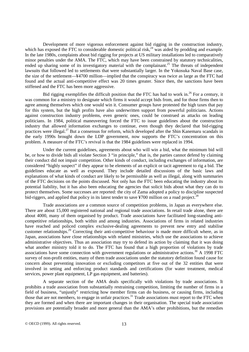Development of more vigorous enforcement against bid rigging in the construction industry, which has exposed the FTC to considerable domestic political risk, $24$  was aided by prodding and example. In the late 1980s, complaints about bid rigging for projects at US military installations led to comparatively minor penalties under the AMA. The FTC, which may have been constrained by statutory technicalities, ended up sharing some of its investigatory material with the complainant.<sup>25</sup> The threats of independent lawsuits that followed led to settlements that were substantially larger. In the Yokosuka Naval Base case, the size of the settlement—¥4700 million—implied that the conspiracy was twice as large as the FTC had found and the actual anti-competitive effect was 20 times greater. Since then, the sanctions have been stiffened and the FTC has been more aggressive.

Bid rigging exemplifies the difficult position that the FTC has had to work in.<sup>26</sup> For a century, it was common for a ministry to designate which firms it would accept bids from, and for those firms then to agree among themselves which one would win it. Consumer groups have protested the high taxes that pay for this system, but the high profits have also underwritten support from powerful politicians. Actions against construction industry problems, even generic ones, could be construed as attacks on leading politicians. In 1984, political maneuvering forced the FTC to issue guidelines about the construction industry that allowed information exchanges to continue, even though they declared that bid-rigging practices were illegal.<sup>27</sup> But a consensus for reform, which developed after the Shin Kanemaru scandals in the early 1990s brought down the LDP government, now supports the FTC's concentration on this problem. A measure of the FTC's revival is that the 1984 guidelines were replaced in 1994.

 Under the current guidelines, agreements about who will win a bid, what the minimum bid will be, or how to divide bids all violate Section 3 "in principle," that is, the parties cannot defend by claiming their conduct did not impair competition. Other kinds of conduct, including exchanges of information, are considered "highly suspect" if they appear to be elements of an explicit or tacit agreement to rig a bid. The guidelines educate as well as expound. They include detailed discussions of the basic laws and explanations of what kinds of conduct are likely to be permissible as well as illegal, along with summaries of the FTC decisions on the points discussed. Not only has the FTC been educating the industry about its potential liability, but it has also been educating the agencies that solicit bids about what they can do to protect themselves. Some successes are reported: the city of Zama adopted a policy to discipline suspected bid-riggers, and applied that policy in its latest tender to save  $\frac{4700}{100}$  million on a road project.<sup>28</sup>

 Trade associations are a common source of competition problems, in Japan as everywhere else. There are about 15,000 registered national and regional trade associations. In retail trade alone, there are about 4000, many of them organised by product. Trade associations have facilitated long-standing anticompetitive relationships, both within and among industries. Associations of firms in related industries have reached and policed complex exclusive-dealing agreements to prevent new entry and stabilise customer relationships.29 Correcting their anti-competitive behaviour is made more difficult where, as in Japan, associations have close relationships with related ministries, which use the associations to achieve administrative objectives. Thus an association may try to defend its action by claiming that it was doing what another ministry told it to do. The FTC has found that a high proportion of violations by trade associations have some connection with government regulations or administrative actions.<sup>30</sup> A 1998 FTC survey of non-profit entities, many of them trade associations under the statutory definition found cause for concern about preventing innovation or excluding competitors at five out of the 32 entities that were involved in setting and enforcing product standards and certifications (for water treatment, medical services, power plant equipment, LP gas equipment, and batteries).

 A separate section of the AMA deals specifically with violations by trade associations. It prohibits a trade association from substantially restraining competition, limiting the number of firms in a field of business, "unjustly" restricting how member firms can do business, or causing firms, including those that are not members, to engage in unfair practices.<sup>31</sup> Trade associations must report to the FTC when they are formed and when there are important changes in their organisation. The special trade association provisions are potentially broader and more general than the AMA's other prohibitions, but the remedies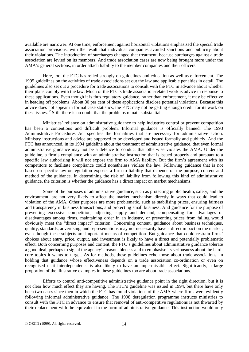available are narrower. At one time, enforcement against horizontal violations emphasised the special trade association provisions, with the result that individual companies avoided sanctions and publicity about their violations. The introduction of surcharges changed that treatment, because surcharges against a trade association are levied on its members. And trade association cases are now being brought more under the AMA's general sections, in order attach liability to the member companies and their officers.

 Here, too, the FTC has relied strongly on guidelines and education as well as enforcement. The 1995 guidelines on the activities of trade associations set out the law and applicable penalties in detail. The guidelines also set out a procedure for trade associations to consult with the FTC in advance about whether their plans comply with the law. Much of the FTC's trade association-related work is advice in response to these applications. Even though it is thus regulatory guidance, rather than enforcement, it may be effective in heading off problems. About 30 per cent of these applications disclose potential violations. Because this advice does not appear in formal case statistics, the FTC may not be getting enough credit for its work on these issues.32 Still, there is no doubt that the problems remain substantial.

 Ministries' reliance on administrative guidance to help industries control or prevent competition has been a contentious and difficult problem. Informal guidance is officially banned. The 1993 Administrative Procedures Act specifies the formalities that are necessary for administrative action. Ministry instructions and advice are supposed to be developed and issued formally and publicly. And the FTC has announced, in its 1994 guideline about the treatment of administrative guidance, that even formal administrative guidance may not be a defence to conduct that otherwise violates the AMA. Under the guideline, a firm's compliance with an administrative instruction that is issued properly and pursuant to a specific law authorising it will not expose the firm to AMA liability. But the firm's agreement with its competitors to facilitate compliance could nonetheless violate the law. Following guidance that is not based on specific law or regulation exposes a firm to liability that depends on the purpose, content and method of the guidance. In determining the risk of liability from following this kind of administrative guidance, the criterion is whether the guidance has a direct impact on market mechanisms.

 Some of the purposes of administrative guidance, such as protecting public health, safety, and the environment, are not very likely to affect the market mechanism directly in ways that could lead to violation of the AMA. Other purposes are more problematic, such as stabilising prices, ensuring fairness and transparency in business transactions, and protecting small business. And guidance for the purpose of preventing excessive competition, adjusting supply and demand, compensating for advantages or disadvantages among firms, maintaining order in an industry, or preventing prices from falling would obviously meet the "direct impact" criterion. Concerning content, guidance about business techniques, quality, standards, advertising, and representations may not necessarily have a direct impact on the market, even though these subjects are important means of competition. But guidance that could restrain firms' choices about entry, price, output, and investment is likely to have a direct and potentially problematic effect. Both concerning purposes and content, the FTC's guidelines about administrative guidance tolerate a good deal, perhaps to signal the agency's reasonableness and to emphasise its seriousness about the hardcore topics it wants to target. As for methods, these guidelines echo those about trade associations, in holding that guidance whose effectiveness depends on a trade association co-ordination or even on recognised tacit interdependence is also likely to have an impermissible effect. Significantly, a large proportion of the illustrative examples in these guidelines too are about trade associations.

 Efforts to control anti-competitive administrative guidance point in the right direction, but it is not clear how much effect they are having. The FTC's guideline was issued in 1994, but there have only been two cases since then in which the FTC has found violations of the AMA where firms were evidently following informal administrative guidance. The 1998 deregulation programme instructs ministries to consult with the FTC in advance to ensure that removal of anti-competitive regulations is not thwarted by their replacement with the equivalent in the form of administrative guidance. This instruction would only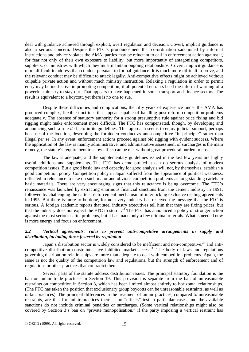deal with guidance achieved through explicit, overt regulation and decision. Covert, implicit guidance is also a serious concern. Despite the FTC's pronouncement that co-ordination sanctioned by informal instructions and advice violates the AMA, parties may be reluctant to call in enforcement action against it, for fear not only of their own exposure to liability, but more importantly of antagonising competitors, suppliers, or ministries with which they must maintain ongoing relationships. Covert, implicit guidance is more difficult to address than conduct pursuant to formal guidance. It is much more difficult to prove, and the relevant conduct may be difficult to attack legally. Anti-competitive effects might be achieved without culpable private action and without much ministry instruction. Relaxing a regulation in order to permit entry may be ineffective in promoting competition, if all potential entrants heed the informal warning of a powerful ministry to stay out. That appears to have happened in some transport and finance sectors. The result is equivalent to a boycott, yet there is no one to sue.

 Despite these difficulties and complications, the fifty years of experience under the AMA has produced complex, flexible doctrines that appear capable of handling post-reform competition problems adequately. The absence of statutory authority for a strong presumptive rule against price fixing and bid rigging might make enforcement more difficult. The FTC has compensated, though, by developing and announcing such a rule *de* facto in its guidelines. This approach seems to enjoy judicial support, perhaps because of the locution, describing the forbidden conduct as anti-competitive "in principle" rather than illegal *per se*. In any event, enforcement actions proceed against bid rigging with evident success. Where the application of the law is mainly administrative, and administrative assessment of surcharges is the main remedy, the statute's requirement to show effect can be met without great procedural burden or cost.

 The law is adequate, and the supplementary guidelines issued in the last few years are highly useful additions and supplements. The FTC has demonstrated it can do serious analysis of modern competition issues. But a good basic law and capacity for good analysis will not, by themselves, establish a good competition policy. Competition policy in Japan suffered from the appearance of political weakness, reflected in reluctance to take on such major and obvious competition problems as long-standing cartels in basic materials. There are very encouraging signs that this reluctance is being overcome. The FTC's renaissance was launched by extracting enormous financial sanctions from the cement industry in 1991, followed by challenging the cartels' enforcement mechanism of interlocking exclusive dealing agreements in 1995. But there is more to be done, for not every industry has received the message that the FTC is serious. A foreign academic reports that steel industry executives tell him that they are fixing prices, but that the industry does not expect the FTC to stop it.<sup>33</sup> The FTC has announced a policy of stronger action against the most serious cartel problems, but it has made only a few criminal referrals. What is needed now is more energy and focus on enforcement.

# *2.2 Vertical agreements: rules to prevent anti-competitive arrangements in supply and distribution, including those fostered by regulation*

Japan's distribution sector is widely considered to be inefficient and non-competitive,  $34$  and anticompetitive distribution constraints have inhibited market access.<sup>35</sup> The body of laws and regulations governing distribution relationships are more than adequate to deal with competition problems. Again, the issue is not the quality of the competition law and regulations, but the strength of enforcement and of regulations or other practices that contradict them.

 Several parts of the statute address distribution issues. The principal statutory foundation is the ban on unfair trade practices in Section 19. This provision is separate from the ban of unreasonable restraints on competition in Section 3, which has been limited almost entirely to horizontal relationships. (The FTC has taken the position that exclusionary group boycotts can be unreasonable restraints, as well as unfair practices). The principal differences in the treatment of unfair practices, compared to unreasonable restraints, are that for unfair practices there is no "effects" test in particular cases, and the available sanctions do not include criminal penalties or surcharges. (Some vertical relationships might also be covered by Section 3's ban on "private monopolisation," if the party imposing a vertical restraint has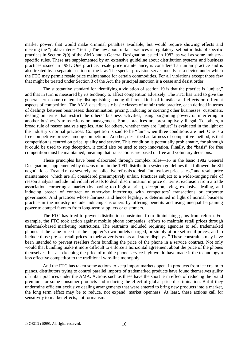market power; that would make criminal penalties available, but would require showing effects and meeting the "public interest" test. ) The law about unfair practices is regulatory, set out in lists of specific practices in Section 2(9) of the AMA and a General Designation issued in 1982, as well as some industryspecific rules. These are supplemented by an extensive guideline about distribution systems and business practices issued in 1991. One practice, resale price maintenance, is considered an unfair practice and is also treated by a separate section of the law. The special provision serves mostly as a device under which the FTC may permit resale price maintenance for certain commodities. For all violations except those few that might be treated under Section 3 of the Act, the principal sanction is a cease and desist order.

 The substantive standard for identifying a violation of section 19 is that the practice is "unjust," and that in turn is measured by its tendency to affect competition adversely. The FTC has tried to give the general term some content by distinguishing among different kinds of injustice and effects on different aspects of competition. The AMA describes six basic classes of unfair trade practice, each defined in terms of dealings between businesses: discrimination, pricing, inducing or coercing other businesses' customers, dealing on terms that restrict the others' business activities, using bargaining power, or interfering in another business's transactions or management. Some practices are presumptively illegal. To others, a broad rule of reason analysis applies. And for others, whether they are "unjust" is evaluated in the light of the industry's normal practices. Competition is said to be "fair" when three conditions are met. One is a free competitive process among competitors. Another, described as fairness of competitive method, is that competition is centred on price, quality and service. This condition is potentially problematic, for although it could be used to stop deception, it could also be used to stop innovation. Finally, the "basis" for free competition must be maintained, meaning that transactions are based on free and voluntary decisions.

 These principles have been elaborated through complex rules—16 in the basic 1982 General Designation, supplemented by dozens more in the 1991 distribution system guidelines that followed the SII negotiations. Treated most severely are collective refusals to deal, "unjust low price sales," and resale price maintenance, which are all considered presumptively unfair. Practices subject to a wider-ranging rule of reason analysis include individual refusals to deal, discrimination in price or terms, exclusion from a trade association, cornering a market (by paying too high a price), deception, tying, exclusive dealing, and inducing breach of contract or otherwise interfering with competitors' transactions or corporate governance. And practices whose fairness, and hence legality, is determined in light of normal business practice in the industry include inducing customers by offering benefits and using unequal bargaining power to compel favours from long-term suppliers or customers.

 The FTC has tried to prevent distribution constraints from diminishing gains from reform. For example, the FTC took action against mobile phone companies' efforts to maintain retail prices through trademark-based marketing restrictions. The restraints included requiring agencies to sell trademarked phones at the same price that the supplier's own outlets charged, or simply at pre-set retail prices, and to include those pre-set retail prices in their advertisements and store displays.<sup>36</sup> These constraints may have been intended to prevent resellers from bundling the price of the phone in a service contract. Not only would that bundling make it more difficult to enforce a horizontal agreement about the price of the phones themselves, but also keeping the price of mobile phone service high would have made it the technology a less effective competitor to the traditional wire-line monopoly.

 And the FTC has taken some actions to keep import markets open. In products from ice cream to pianos, distributors trying to control parallel imports of trademarked products have found themselves guilty of unfair practices under the AMA. Actions such as these have the short term effect of reducing the brand premium for some consumer products and reducing the effect of global price discrimination. But if they undermine efficient exclusive dealing arrangements that were entered to bring new products into a market, the long term effect may be to reduce, not expand, market openness. At least, these actions call for sensitivity to market effects, not formalism.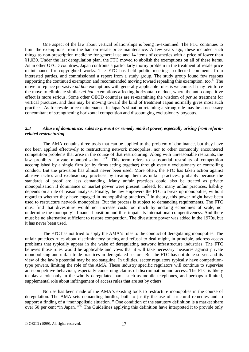One aspect of the law about vertical relationships is being re-examined. The FTC continues to limit the exemptions from the ban on resale price maintenance. A few years ago, these included such things as non-prescription medicine for general use and 14 items of cosmetics with a price of lower than ¥1,030. Under the last deregulation plan, the FTC moved to abolish the exemptions on all of these items. As in other OECD countries, Japan confronts a particularly thorny problem in the treatment of resale price maintenance for copyrighted works. The FTC has held public meetings, collected comments from interested parties, and commissioned a report from a study group. The study group found few reasons supporting the continued exemption and recommended moving toward repealing this exemption, too.<sup>37</sup> The move to replace pervasive *ad hoc* exemptions with generally applicable rules is welcome. It may reinforce the move to eliminate similar *ad hoc* exemptions affecting horizontal conduct, where the anti-competitive effect is more serious. Some other OECD countries are re-examining the wisdom of *per se* treatment for vertical practices, and thus may be moving toward the kind of treatment Japan normally gives most such practices. As for resale price maintenance, in Japan's situation retaining a strong rule may be a necessary concomitant of strengthening horizontal competition and discouraging exclusionary boycotts.

# *2.3 Abuse of dominance: rules to prevent or remedy market power, especially arising from reformrelated restructuring*

 The AMA contains three tools that can be applied to the problem of dominance, but they have not been applied effectively to restructuring network monopolies, nor to other commonly encountered competition problems that arise in the course of that restructuring. Along with unreasonable restraints, the law prohibits "private monopolisation."<sup>38</sup> This term refers to substantial restraints of competition accomplished by a single firm (or by firms acting together) through overtly exclusionary or controlling conduct. But the provision has almost never been used. More often, the FTC has taken action against abusive tactics and exclusionary practices by treating them as unfair practices, probably because the standards of proof are less demanding. Many unfair practices could also be treated as private monopolisation if dominance or market power were present. Indeed, for many unfair practices, liability depends on a rule of reason analysis. Finally, the law empowers the FTC to break up monopolies, without regard to whether they have engaged in monopolising practices.<sup>39</sup> In theory, this power might have been used to restructure network monopolies. But the process is subject to demanding requirements. The FTC must find that divestiture would not increase costs too much by undoing economies of scale, nor undermine the monopoly's financial position and thus impair its international competitiveness. And there must be no alternative sufficient to restore competition. The divestiture power was added in the 1970s, but it has never been used.

 The FTC has not tried to apply the AMA's rules to the conduct of deregulating monopolies. The unfair practices rules about discriminatory pricing and refusal to deal might, in principle, address access problems that typically appear in the wake of deregulating network infrastructure industries. The FTC believes those rules would be applicable and vows that it will take necessary measures against private monopolising and unfair trade practices in deregulated sectors. But the FTC has not done so yet, and its view of the law's potential may be too sanguine. In utilities, sector regulators typically have competitiontype powers, limiting the role of the AMA. These industry specific regulators will continue to supervise anti-competitive behaviour, especially concerning claims of discrimination and access. The FTC is likely to play a role only in the wholly deregulated parts, such as mobile telephones, and perhaps a limited, supplemental role about infringement of access rules that are set by others.

 No use has been made of the AMA's existing tools to restructure monopolies in the course of deregulation. The AMA sets demanding hurdles, both to justify the use of structural remedies and to support a finding of a "monopolistic situation. " One condition of the statutory definition is a market share over 50 per cent "in Japan."<sup>40</sup> The Guidelines applying this definition have interpreted it to provide only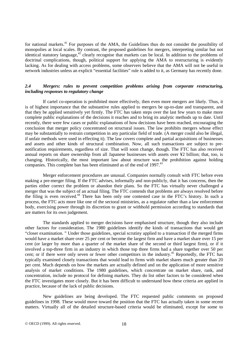for national markets.<sup>41</sup> For purposes of the AMA, the Guidelines thus do not consider the possibility of monopolies at local scales. By contrast, the proposed guidelines for mergers, interpreting similar but not identical statutory language, $4^{2}$  clearly recognise that markets can be local. In addition to the problems of doctrinal complications, though, political support for applying the AMA to restructuring is evidently lacking. As for dealing with access problems, some observers believe that the AMA will not be useful in network industries unless an explicit "essential facilities" rule is added to it, as Germany has recently done.

# *2.4 Mergers: rules to prevent competition problems arising from corporate restructuring, including responses to regulatory change*

 If cartel co-operation is prohibited more effectively, then even more mergers are likely. Thus, it is of highest importance that the substantive rules applied to mergers be up-to-date and transparent, and that they be applied sensitively yet firmly. The FTC has taken steps over the last few years to make more complete public explanations of the decisions it reaches and to bring its analytic methods up to date. Until recently, there were few cases or public explanations of how decisions have been reached, encouraging the conclusion that merger policy concentrated on structural issues. The law prohibits mergers whose effect may be substantially to restrain competition in any particular field of trade. (A merger could also be illegal, if unfair methods were used in effecting it). The law covers complete and partial acquisitions of businesses and assets and other kinds of structural combination. Now, all such transactions are subject to prenotification requirements, regardless of size. That will soon change, though. The FTC has also received annual reports on share ownership from all Japanese businesses with assets over ¥2 billion; that, too, is changing. Historically, the most important law about structure was the prohibition against holding companies. This complete ban has been eliminated as of the end of 1997.<sup>43</sup>

 Merger enforcement procedures are unusual. Companies normally consult with FTC before even making a pre-merger filing. If the FTC advises, informally and non-publicly, that it has concerns, then the parties either correct the problem or abandon their plans. So the FTC has virtually never challenged a merger that was the subject of an actual filing. The FTC contends that problems are always resolved before the filing is even received.<sup>44</sup> There has been only one contested case in the FTC's history. In such a process, the FTC acts more like one of the sectoral ministries, as a regulator rather than a law enforcement body, exercising power through its discretion to grant or withhold permission according to standards that are matters for its own judgement.

 The standards applied to merger decisions have emphasised structure, though they also include other factors for consideration. The 1980 guidelines identify the kinds of transactions that would get "closer examination. " Under those guidelines, special scrutiny applied to a transaction if the merged firms would have a market share over 25 per cent or become the largest firm and have a market share over 15 per cent (or larger by more than a quarter of the market share of the second or third largest firm), or if it involved a top-three firm in an industry in which those top three firms had a share together over 50 per cent; or if there were only seven or fewer other competitors in the industry.<sup>45</sup> Reportedly, the FTC has typically examined closely transactions that would lead to firms with market shares much greater than 20 per cent. Much depends on how the markets are actually defined and on the application of more sensitive analysis of market conditions. The 1980 guidelines, which concentrate on market share, rank, and concentration, include no protocol for defining markets. They do list other factors to be considered when the FTC investigates more closely. But it has been difficult to understand how these criteria are applied in practice, because of the lack of public decisions.

 New guidelines are being developed. The FTC requested public comments on proposed guidelines in 1998. These would move toward the position that the FTC has actually taken in some recent matters. Virtually all of the detailed structure-based criteria would be eliminated, except for some to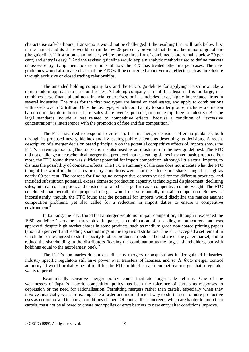characterise safe-harbours. Transactions would not be challenged if the resulting firm will rank below first in the market and its share would remain below 25 per cent, provided that the market is not oligopolistic (the guidelines' illustration is an industry where the top three firms' combined share remains below 70 per cent) and entry is easy.<sup>46</sup> And the revised guideline would explain analytic methods used to define markets or assess entry, tying them to descriptions of how the FTC has treated other merger cases. The new guidelines would also make clear that the FTC will be concerned about vertical effects such as foreclosure through exclusive or closed trading relationships.

 The amended holding company law and the FTC's guidelines for applying it also now take a more modern approach to structural issues. A holding company can still be illegal if it is too large, if it combines large financial and non-financial enterprises, or if it includes large, highly interrelated firms in several industries. The rules for the first two types are based on total assets, and apply to combinations with assets over ¥15 trillion. Only the last type, which could apply to smaller groups, includes a criterion based on market definition or share (sales share over 10 per cent, or among top three in industry). But the legal standards include a test related to competitive effects, because a condition of "excessive concentration" is interference with the promotion of free and fair competition.<sup>47</sup>

 The FTC has tried to respond to criticism, that its merger decisions offer no guidance, both through its proposed new guidelines and by issuing public statements describing its decisions. A recent description of a merger decision based principally on the potential competitive effects of imports shows the FTC's current approach. (This transaction is also used as an illustration in the new guidelines). The FTC did not challenge a petrochemical merger that produced market-leading shares in seven basic products. For most, the FTC found there was sufficient potential for import competition, although little actual imports, to dismiss the possibility of domestic effects. The FTC's summary of the case does not indicate what the FTC thought the world market shares or entry conditions were, but the "domestic" shares ranged as high as nearly 60 per cent. The reasons for finding no competitive concern varied for the different products, and included substitution potential, excess domestic production capacity, technological displacement, declining sales, internal consumption, and existence of another large firm as a competitive counterweight. The FTC concluded that overall, the proposed merger would not substantially restrain competition. Somewhat inconsistently, though, the FTC found that the potential for imports would discipline the market against competition problems, yet also called for a reduction in import duties to ensure a competitive environment.<sup>48</sup>

 In banking, the FTC found that a merger would not impair competition, although it exceeded the 1980 guidelines' structural thresholds. In paper, a combination of a leading manufacturers and was approved, despite high market shares in some products, such as medium grade non-coated printing papers (about 35 per cent) and leading shareholdings in the top two distributors. The FTC accepted a settlement in which the parties agreed to shift capacity to other products to reduce their share of the paper market, and to reduce the shareholding in the distributors (leaving the combination as the largest shareholders, but with holdings equal to the next-largest one).<sup>49</sup>

 The FTC's summaries do not describe any mergers or acquisitions in deregulated industries. Industry specific regulators still have power over transfers of licenses, and so *de facto* merger control authority. It would probably be difficult for the FTC to block an anti-competitive merger that a regulator wants to permit.

 Economically sensitive merger policy could facilitate larger-scale reforms. One of the weaknesses of Japan's historic competition policy has been the tolerance of cartels as responses to depression or the need for rationalisation. Permitting mergers rather than cartels, especially when they involve financially weak firms, might be a faster and more efficient way to shift assets to more productive uses as economic and technical conditions change. Of course, these mergers, which are harder to undo than cartels, must not be allowed to create monopolies or erect barriers to new entry after conditions improve.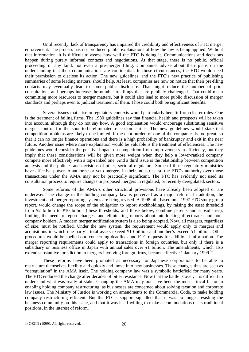Until recently, lack of transparency has impaired the credibility and effectiveness of FTC merger enforcement. The process has not produced public explanations of how the law is being applied. Without that information, it is difficult to assess how well the FTC is doing it. Communications and decisions happen during purely informal contacts and negotiations. At that stage, there is no public, official proceeding of any kind, not even a pre-merger filing. Companies advise about their plans on the understanding that their communications are confidential. In those circumstances, the FTC would need their permission to disclose its action. The new guidelines, and the FTC's new practice of publishing summaries of some leading matters, should help. At least, companies are now on notice that their pre-filing contacts may eventually lead to some public disclosure. That might reduce the number of prior consultations and perhaps increase the number of filings that are publicly challenged. That could mean committing more resources to merger matters, but it could also lead to more public discussion of merger standards and perhaps even to judicial treatment of them. Those could both be significant benefits.

 Several issues that arise in regulatory contexts would particularly benefit from clearer rules. One is the treatment of failing firms. The 1980 guidelines say that financial health and prospects will be taken into account, although they do not say how. A good explanation would encourage substituting sensitive merger control for the soon-to-be-eliminated recession cartels. The new guidelines would state that competition problems are likely to be limited, if the debt burden of one of the companies is too great, so that it can no longer finance operations and there is a high probability of bankruptcy and exit in the near future. Another issue where more explanation would be valuable is the treatment of efficiencies. The new guidelines would consider the positive impact on competition from improvements in efficiency, but they imply that these considerations will be given more weight when they help a lower-ranked company compete more effectively with a top-ranked one. And a third issue is the relationship between competition analysis and the policies and decisions of other, sectoral regulators. Some of those regulatory ministries have effective power to authorise or veto mergers in their industries, so the FTC's authority over those transactions under the AMA may not be practically significant. The FTC has evidently not used its consultation process to require changes in proposed mergers in regulated, or recently deregulated, sectors.

 Some reforms of the AMA's other structural provisions have already been adopted or are underway. The change in the holding company law is perceived as a major reform. In addition, the investment and merger reporting systems are being revised. A 1998 bill, based on a 1997 FTC study group report, would change the scope of the obligation to report stockholdings, by raising the asset threshold from ¥2 billion to ¥10 billion (these thresholds, and those below, combine parents and subsidiaries), limiting the need to report changes, and eliminating reports about interlocking directorates and noncompany holders. A modern merger notification system is also being adopted. Now, all mergers, regardless of size, must be notified. Under the new system, the requirement would apply only to mergers and acquisitions in which one party's total assets exceed ¥10 billion and another's exceed ¥1 billion. Other procedures would be spelled out, concerning deadlines and FTC requests for additional information. The merger reporting requirements could apply to transactions in foreign countries, but only if there is a subsidiary or business office in Japan with annual sales over ¥1 billion. The amendments, which also extend substantive jurisdiction to mergers involving foreign firms, became effective 1 January 1999.<sup>50</sup>

 These reforms have been promoted as necessary for Japanese corporations to be able to restructure themselves flexibly and quickly and move into new businesses. These changes thus are seen as "deregulation" in the AMA itself. The holding company law was a symbolic battlefield for many years. The FTC endorsed the change after decades of bitter resistance. Now that the battle is over, it is difficult to understand what was really at stake. Changing the AMA may not have been the most critical factor in enabling holding company restructuring, as businesses are concerned about solving taxation and corporate law issues. The Ministry of Justice is working on amendments to the Commercial Code, to make holding company restructuring efficient. But the FTC's support signalled that it was no longer resisting the business community on this issue, and that it was itself willing to make accommodations of its traditional positions, in the interest of reform.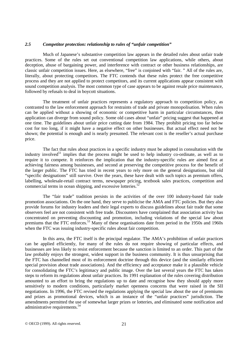# *2.5 Competitor protection: relationship to rules of "unfair competition"*

 Much of Japanese's substantive competition law appears in the detailed rules about unfair trade practices. Some of the rules set out conventional competition law applications, while others, about deception, abuse of bargaining power, and interference with contract or other business relationships, are classic unfair competition issues. Here, as elsewhere, "free" is conjoined with "fair. " All of the rules are, literally, about protecting competitors. The FTC contends that these rules protect the free competitive process and they are not applied to protect competitors, and its current applications appear consistent with sound competition analysis. The most common type of case appears to be against resale price maintenance, followed by refusals to deal in boycott situations.

 The treatment of unfair practices represents a regulatory approach to competition policy, as contrasted to the law enforcement approach for restraints of trade and private monopolisation. When rules can be applied without a showing of economic or competitive harm in particular circumstances, then application can diverge from sound policy. Some old cases about "unfair" pricing suggest that happened at one time. The guidelines about unfair price cutting date from 1984. They prohibit pricing too far below cost for too long, if it might have a negative effect on other businesses. But actual effect need not be shown; the potential is enough and is nearly presumed. The relevant cost is the reseller's actual purchase price.

 The fact that rules about practices in a specific industry must be adopted in consultation with the industry involved<sup>51</sup> implies that the process might be used to help industry co-ordinate, as well as to require it to compete. It reinforces the implication that the industry-specific rules are aimed first at achieving fairness among businesses, and second at preserving the competitive process for the benefit of the larger public. The FTC has tried in recent years to rely more on the general designations, but old "specific designations" still survive. Over the years, these have dealt with such topics as premium offers, labelling, wholesale-retail contract terms, newspaper pricing, textbook sales practices, competition and commercial terms in ocean shipping, and excessive lotteries.<sup>52</sup>

 The "fair trade" tradition persists in the activities of the over 100 industry-based fair trade promotion associations. On the one hand, they serve to publicise the AMA and FTC policies. But they also provide forums for industry leaders and their legal experts to discuss guidelines about fair trade that some observers feel are not consistent with free trade. Discounters have complained that association activity has concentrated on preventing discounting and promotion, including violations of the special law about premiums that the FTC enforces.53 Many of these organisations date from period in the 1950s and 1960s when the FTC was issuing industry-specific rules about fair competition.

 In this area, the FTC itself is the principal regulator. The AMA's prohibition of unfair practices can be applied efficiently, for many of the rules do not require showing of particular effects, and businesses are less likely to resist enforcement because the sanction is limited to an order. This part of the law probably enjoys the strongest, widest support in the business community. It is thus unsurprising that the FTC has channelled most of its enforcement doctrine through this device (and the similarly efficient special provision about trade associations). And the efficiency and acceptance make it a plausible vehicle for consolidating the FTC's legitimacy and public image. Over the last several years the FTC has taken steps to reform its regulations about unfair practices. Its 1991 explanation of the rules covering distribution amounted to an effort to bring the regulations up to date and recognise how they should apply more sensitively to modern conditions, particularly market openness concerns that were raised in the SII negotiations. In 1996, the FTC revised the regulations applying the special law about the use of premiums and prizes as promotional devices, which is an instance of the "unfair practices" jurisdiction. The amendments permitted the use of somewhat larger prizes or lotteries, and eliminated some notification and administrative requirements.<sup>54</sup>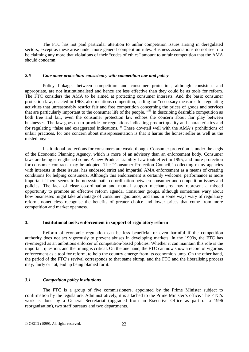The FTC has not paid particular attention to unfair competition issues arising in deregulated sectors, except as these arise under more general competition rules. Business associations do not seem to be claiming any more that violations of their "codes of ethics" amount to unfair competition that the AMA should condemn.

#### *2.6 Consumer protection: consistency with competition law and policy*

 Policy linkages between competition and consumer protection, although consistent and appropriate, are not institutionalised and hence are less effective than they could be as tools for reform. The FTC considers the AMA to be aimed at protecting consumer interests. And the basic consumer protection law, enacted in 1968, also mentions competition, calling for "necessary measures for regulating activities that unreasonably restrict fair and free competition concerning the prices of goods and services that are particularly important to the consumer life of the people. "55 In describing desirable competition as both free and fair, even the consumer protection law echoes the concern about fair play between businesses. The law goes on to provide for regulations indicating product quality and characteristics and for regulating "false and exaggerated indications. " These dovetail well with the AMA's prohibitions of unfair practices, for one concern about misrepresentation is that it harms the honest seller as well as the misled buyer.

 Institutional protections for consumers are weak, though. Consumer protection is under the aegis of the Economic Planning Agency, which is more of an advisory than an enforcement body. Consumer laws are being strengthened some. A new Product Liability Law took effect in 1995, and more protection for consumer contracts may be adopted. The "Consumer Protection Council," collecting many agencies with interests in these issues, has endorsed strict and impartial AMA enforcement as a means of creating conditions for helping consumers. Although this endorsement is certainly welcome, performance is more important. There seems to be no systematic co-ordination between consumer and competition issues and policies. The lack of clear co-ordination and mutual support mechanisms may represent a missed opportunity to promote an effective reform agenda. Consumer groups, although sometimes wary about how businesses might take advantage of consumer ignorance, and thus in some ways wary of regulatory reform, nonetheless recognise the benefits of greater choice and lower prices that come from more competition and market openness.

#### **3. Institutional tools: enforcement in support of regulatory reform**

 Reform of economic regulation can be less beneficial or even harmful if the competition authority does not act vigorously to prevent abuses in developing markets. In the 1990s, the FTC has re-emerged as an ambitious enforcer of competition-based policies. Whether it can maintain this role is the important question, and the timing is critical. On the one hand, the FTC can now show a record of vigorous enforcement as a tool for reform, to help the country emerge from its economic slump. On the other hand, the period of the FTC's revival corresponds to that same slump, and the FTC and the liberalising process may, fairly or not, end up being blamed for it.

# *3.1 Competition policy institutions*

 The FTC is a group of five commissioners, appointed by the Prime Minister subject to confirmation by the legislature. Administratively, it is attached to the Prime Minister's office. The FTC's work is done by a General Secretariat (upgraded from an Executive Office as part of a 1996 reorganisation), two staff bureaux and two departments.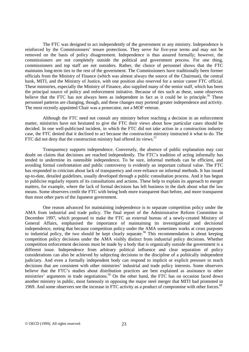The FTC was designed to act independently of the government or any ministry. Independence is reinforced by the Commissioners' tenure protections. They serve for five-year terms and may not be removed on the basis of policy disagreement. Independence is thus assured formally; however, the commissioners are not completely outside the political and government process. For one thing, commissioners and top staff are not outsiders. Rather, the choice of personnel shows that the FTC maintains long-term ties to the rest of the government. The Commissioners have traditionally been former officials from the Ministry of Finance (which was almost always the source of the Chairman), the central bank, MITI, and the Ministry of Justice, with one position also reserved for a senior career FTC official. These ministries, especially the Ministry of Finance, also supplied many of the senior staff, which has been the principal source of policy and enforcement initiative. Because of ties such as these, some observers believe that the FTC has not always been as independent in fact as it could be in principle.<sup>56</sup> These personnel patterns are changing, though, and these changes may portend greater independence and activity. The most recently appointed Chair was a prosecutor, not a MOF veteran.

 Although the FTC need not consult any ministry before reaching a decision in an enforcement matter, ministries have not hesitated to give the FTC their views about how particular cases should be decided. In one well-publicised incident, in which the FTC did not take action in a construction industry case, the FTC denied that it declined to act because the construction ministry instructed it what to do. The FTC did not deny that the construction ministry had offered its views.<sup>57</sup>

 Transparency supports independence. Conversely, the absence of public explanation may cast doubt on claims that decisions are reached independently. The FTC's tradition of acting informally has tended to undermine its ostensible independence. To be sure, informal methods can be efficient, and avoiding formal confrontation and public controversy is evidently an important cultural value. The FTC has responded to criticism about lack of transparency and over-reliance on informal methods. It has issued up-to-date, detailed guidelines, usually developed through a public consultation process. And it has begun to publicise regularly reports of its consultations and actions. These help to explain its approach to merger matters, for example, where the lack of formal decisions has left business in the dark about what the law means. Some observers credit the FTC with being both more transparent than before, and more transparent than most other parts of the Japanese government.

 One reason advanced for maintaining independence is to separate competition policy under the AMA from industrial and trade policy. The final report of the Administrative Reform Committee in December 1997, which proposed to make the FTC an external bureau of a newly-created Ministry of General Affairs, emphasised the importance of maintaining its investigational and decisional independence, noting that because competition policy under the AMA sometimes works at cross purposes to industrial policy, the two should be kept clearly separate.<sup>58</sup> This recommendation is about keeping competition policy decisions under the AMA visibly distinct from industrial policy decisions. Whether competition enforcement decisions must be made by a body that is organically outside the government is a different issue. Independence from arbitrary political influence and clear separation of policy considerations can also be achieved by subjecting decisions to the discipline of a politically independent judiciary. And even a formally independent body can respond to implicit or explicit pressure to reach decisions that are consistent with other ministries' industrial and trade policy interests. Some observers believe that the FTC's studies about distribution practices are best explained as assistance to other ministries' arguments in trade negotiations.<sup>59</sup> On the other hand, the FTC has on occasion faced down another ministry in public, most famously in opposing the major steel merger that MITI had promoted in 1969. And some observers see the increase in FTC activity as a product of compromise with other forces.<sup>60</sup>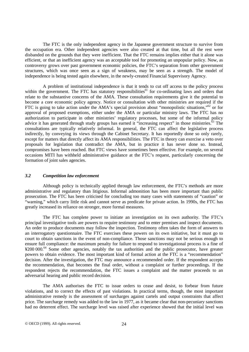The FTC is the only independent agency in the Japanese government structure to survive from the occupation era. Other independent agencies were also created at that time, but all the rest were disbanded on the grounds that they were inefficient. That the FTC remains implies either that it alone was efficient, or that an inefficient agency was an acceptable tool for promoting an unpopular policy. Now, as controversy grows over past government economic policies, the FTC's separation from other government structures, which was once seen as a sign of weakness, may be seen as a strength. The model of independence is being tested again elsewhere, in the newly-created Financial Supervisory Agency.

 A problem of institutional independence is that it tends to cut off access to the policy process within the government. The FTC has statutory responsibilities<sup>61</sup> for co-ordinating laws and orders that relate to the substantive concerns of the AMA. These consultation requirements give it the potential to become a core economic policy agency. Notice or consultation with other ministries are required if the FTC is going to take action under the AMA's special provision about "monopolistic situations,"<sup>62</sup> or for approval of proposed exemptions, either under the AMA or particular ministry laws. The FTC has no authorization to participate in other ministries' regulatory processes, but some of the informal policy advice it has generated through study groups has earned it "increasing respect" in those ministries.<sup>63</sup> The consultations are typically relatively informal. In general, the FTC can affect the legislative process indirectly, by conveying its views through the Cabinet Secretary. It has reportedly done so only rarely, except for matters that directly affect its AMA responsibilities. The FTC in theory can exercise a veto over proposals for legislation that contradict the AMA, but in practice it has never done so. Instead, compromises have been reached. But FTC views have sometimes been effective. For example, on several occasions MITI has withheld administrative guidance at the FTC's request, particularly concerning the formation of joint sales agencies.

#### *3.2 Competition law enforcement*

 Although policy is technically applied through law enforcement, the FTC's methods are more administrative and regulatory than litigious. Informal admonition has been more important than public prosecution. The FTC has been criticised for concluding too many cases with statements of "caution" or "warning," which carry little risk and cannot serve as predicate for private action. In 1990s, the FTC has greatly increased its reliance on stronger, more formal measures.

 The FTC has complete power to initiate an investigation on its own authority. The FTC's principal investigative tools are powers to require testimony and to enter premises and inspect documents. An order to produce documents may follow the inspection. Testimony often takes the form of answers to an interrogatory questionnaire. The FTC exercises these powers on its own initiative, but it must go to court to obtain sanctions in the event of non-compliance. Those sanctions may not be serious enough to ensure full compliance: the maximum penalty for failure to respond to investigational process is a fine of ¥200 000.64 Some other agencies, notably the tax authorities and the public prosecutor, have greater powers to obtain evidence. The most important kind of formal action at the FTC is a "recommendation" decision. After the investigation, the FTC may announce a recommended order. If the respondent accepts the recommendation, that becomes the final order, without a complaint or further proceedings. If the respondent rejects the recommendation, the FTC issues a complaint and the matter proceeds to an adversarial hearing and public record decision.

 The AMA authorises the FTC to issue orders to cease and desist, to forbear from future violations, and to correct the effects of past violations. In practical terms, though, the most important administrative remedy is the assessment of surcharges against cartels and output constraints that affect price. The surcharge remedy was added to the law in 1977, as it became clear that non-pecuniary sanctions had no deterrent effect. The surcharge level was raised after experience showed that the initial level was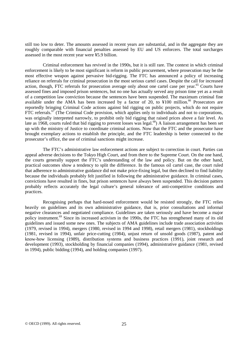still too low to deter. The amounts assessed in recent years are substantial, and in the aggregate they are roughly comparable with financial penalties assessed by EU and US enforcers. The total surcharges assessed in the most recent year were ¥5.9 billion.

 Criminal enforcement has revived in the 1990s, but it is still rare. The context in which criminal enforcement is likely to be most significant is reform in public procurement, where prosecution may be the most effective weapon against pervasive bid-rigging. The FTC has announced a policy of increasing reliance on referrals for criminal prosecution in the most serious cartel cases. Despite the call for increased action, though, FTC referrals for prosecution average only about one cartel case per year.<sup>65</sup> Courts have assessed fines and imposed prison sentences, but no one has actually served any prison time yet as a result of a competition law conviction because the sentences have been suspended. The maximum criminal fine available under the AMA has been increased by a factor of  $20$ , to  $\frac{1}{2}100$  million.<sup>66</sup> Prosecutors are reportedly bringing Criminal Code actions against bid rigging on public projects, which do not require FTC referrals.<sup>67</sup> (The Criminal Code provision, which applies only to individuals and not to corporations, was originally interpreted narrowly, to prohibit only bid rigging that raised prices above a fair level. As late as 1968, courts ruled that bid rigging to prevent losses was legal.<sup>68</sup>) A liaison arrangement has been set up with the ministry of Justice to coordinate criminal actions. Now that the FTC and the prosecutor have brought exemplary actions to establish the principle, and the FTC leadership is better connected to the prosecutor's office, the use of criminal sanctions might increase.

 The FTC's administrative law enforcement actions are subject to correction in court. Parties can appeal adverse decisions to the Tokyo High Court, and from there to the Supreme Court. On the one hand, the courts generally support the FTC's understanding of the law and policy. But on the other hand, practical outcomes show a tendency to split the difference. In the famous oil cartel case, the court ruled that adherence to administrative guidance did not make price-fixing legal, but then declined to find liability because the individuals probably felt justified in following the administrative guidance. In criminal cases, convictions have resulted in fines, but prison sentences have always been suspended. This decision pattern probably reflects accurately the legal culture's general tolerance of anti-competitive conditions and practices.

 Recognising perhaps that hard-nosed enforcement would be resisted strongly, the FTC relies heavily on guidelines and its own administrative guidance, that is, prior consultations and informal negative clearances and negotiated compliance. Guidelines are taken seriously and have become a major policy instrument.69 Since its increased activism in the 1990s, the FTC has strengthened many of its old guidelines and issued some new ones. The subjects of AMA guidelines include trade association activities (1979, revised in 1994), mergers (1980, revised in 1994 and 1998), retail mergers (1981), stockholdings (1981, revised in 1994), unfair price-cutting (1984), unjust return of unsold goods (1987), patent and know-how licensing (1989), distribution systems and business practices (1991), joint research and development (1993), stockholding by financial companies (1994), administrative guidance (1981, revised in 1994), public bidding (1994), and holding companies (1997).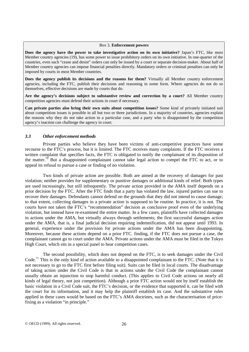#### Box 3. **Enforcement powers**

**Does the agency have the power to take investigative action on its own initiative?** Japan's FTC, like most Member country agencies (19), has some power to issue prohibitory orders on its own initiative. In one-quarter of the countries, even such "cease and desist" orders can only be issued by a court or separate decision-maker. About half of Member country agencies can impose financial penalties directly. Mandatory orders or criminal penalties can only be imposed by courts in most Member countries.

**Does the agency publish its decisions and the reasons for them?** Virtually all Member country enforcement agencies, including the FTC, publish their decisions and reasoning in some form. Where agencies do not do so themselves, effective decisions are made by courts that do.

**Are the agency's decisions subject to substantive review and correction by a court?** All Member country competition agencies must defend their actions in court if necessary.

**Can private parties also bring their own suits about competition issues?** Some kind of privately initiated suit about competition issues is possible in all but two or three jurisdictions. In a majority of countries, agencies explain the reasons why they do not take action in a particular case, and a party who is disappointed by the competition agency's inaction can challenge the agency in court.

#### *3.3 Other enforcement methods*

 Private parties who believe they have been victims of anti-competitive practices have some recourse to the FTC's process, but it is limited. The FTC receives many complaints. If the FTC receives a written complaint that specifies facts, the FTC is obligated to notify the complainant of its disposition of the matter.<sup>70</sup> But a disappointed complainant cannot take legal action to compel the FTC to act, or to appeal its refusal to pursue a case or finding of no violation.

 Two kinds of private action are possible. Both are aimed at the recovery of damages for past violation; neither provides for supplementary or punitive damages or additional kinds of relief. Both types are used increasingly, but still infrequently. The private action provided in the AMA itself depends on a prior decision by the FTC. After the FTC finds that a party has violated the law, injured parties can sue to recover their damages. Defendants cannot defend on the grounds that they did not intend to cause damage; to that extent, collecting damages in a private action is supposed to be routine. In practice, it is not. The courts have not taken the FTC's "recommendation" decision as conclusive proof even of the underlying violation, but instead have re-examined the entire matter. In a few cases, plaintiffs have collected damages in actions under the AMA, but virtually always through settlements; the first successful damages action under the AMA, that is, a final judicial decision requiring indemnification, did not appear until 1993. In general, experience under the provision for private actions under the AMA has been disappointing. Moreover, because these actions depend on a prior FTC. finding, if the FTC does not pursue a case, the complainant cannot go to court under the AMA. Private actions under the AMA must be filed in the Tokyo High Court, which sits in a special panel to hear competition cases.

 The second possibility, which does not depend on the FTC, is to seek damages under the Civil Code.<sup>71</sup> This is the only kind of action available to a disappointed complainant to the FTC. (Note that it is not necessary to go to the FTC first before filing suit). Suits can be filed in local courts. The disadvantage of taking action under the Civil Code is that in actions under the Civil Code the complainant cannot usually obtain an injunction to stop harmful conduct. (This applies to Civil Code actions on nearly all kinds of legal theory, not just competition). Although a prior FTC action would not by itself establish the basic violation in a Civil Code suit, the FTC's decision, or the evidence that supported it, can be filed with the court for its information, and it may help the plaintiff establish its case. And the substantive rules applied in these cases would be based on the FTC's AMA doctrines, such as the characterisation of pricefixing as a violation "in principle."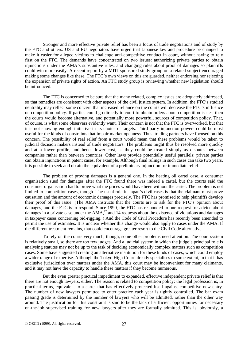Stronger and more effective private relief has been a focus of trade negotiations and of study by the FTC and others. US and EU negotiators have urged that Japanese law and procedure be changed to make it easier for alleged victims to challenge anti-competitive conduct in court, without having to rely first on the FTC. The demands have concentrated on two issues: authorizing private parties to obtain injunctions under the AMA's substantive rules, and changing rules about proof of damages so plaintiffs could win more easily. A recent report by a MITI-sponsored study group on a related subject encouraged making some changes like these. The FTC's own views on this are guarded, neither endorsing nor rejecting the expansion of private rights of action. An FTC study group is reviewing whether new legislation should be introduced.

 The FTC is concerned to be sure that the many related, complex issues are adequately addressed, so that remedies are consistent with other aspects of the civil justice system. In addition, the FTC's studied neutrality may reflect some concern that increased reliance on the courts will decrease the FTC's influence on competition policy. If parties could go directly to court to obtain orders about competition issues, then the courts would become alternative, and potentially more powerful, sources of competition policy. That, of course, is what some observers evidently want. Their concern is not that the FTC is overworked, but that it is not showing enough initiative in its choice of targets. Third party injunction powers could be most useful for the kinds of constraints that impair market openness. Thus, trading partners have focused on this concern. The possibility of real relief from a court would mean that these problems would be taken to judicial decision makers instead of trade negotiators. The problems might thus be resolved more quickly and at a lower profile, and hence lower cost, as they could be treated simply as disputes between companies rather than between countries. Other laws provide potentially useful parallels; private parties can obtain injunctions in patent cases, for example. Although final rulings in such cases can take two years, it is possible to seek and obtain the equivalent of a preliminary injunction for immediate relief.

 The problem of proving damages is a general one. In the heating oil cartel case, a consumer organisation sued for damages after the FTC found there was indeed a cartel, but the courts said the consumer organisation had to prove what the prices would have been without the cartel. The problem is not limited to competition cases, though. The usual rule in Japan's civil cases is that the claimant must prove causation and the amount of economic damages precisely. The FTC has promised to help plaintiffs develop their proof of this issue. (The AMA instructs that the courts are to ask for the FTC's opinion about damages, and the FTC is to respond. Since 1990, the FTC has responded to one request for advice about damages in a private case under the  $AMA$ ,<sup>72</sup> and 14 requests about the existence of violations and damages in taxpayer cases concerning bid-rigging. ) And the Code of Civil Procedure has recently been amended to permit the use of estimates. It is unclear whether this change would also apply to cases under the AMA. If the different treatment remains, that could encourage greater resort to the Civil Code alternative.

 To rely on the courts very much, though, some other problems need attention. The court system is relatively small, so there are too few judges. And a judicial system in which the judge's principal role is analysing statutes may not be up to the task of deciding economically complex matters such as competition cases. Some have suggested creating an alternative institution for these kinds of cases, which could employ a wider range of expertise. Although the Tokyo High Court already specialises to some extent, in that it has exclusive jurisdiction over matters under the AMA, this court may be inconvenient for many claimants, and it may not have the capacity to handle these matters if they become numerous.

 But the even greater practical impediment to expanded, effective independent private relief is that there are not enough lawyers, either. The reason is related to competition policy: the legal profession is, in practical terms, equivalent to a cartel that has effectively protected itself against competitive new entry. The number of new lawyers permitted to enter practice each year is tightly controlled. The bar exam passing grade is determined by the number of lawyers who will be admitted, rather than the other way around. The justification for this constraint is said to be the lack of sufficient opportunities for necessary on-the-job supervised training for new lawyers after they are formally admitted. This is, obviously, a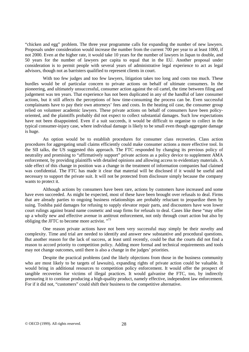"chicken and egg" problem. The three year programme calls for expanding the number of new lawyers. Proposals under consideration would increase the number from the current 700 per year to at least 1000, if not 2000. Even at the higher rate, it would take 10 years for the number of lawyers in Japan to double, and 50 years for the number of lawyers per capita to equal that in the EU. Another proposal under consideration is to permit people with several years of administrative legal experience to act as legal advisors, though not as barristers qualified to represent clients in court.

 With too few judges and too few lawyers, litigation takes too long and costs too much. These hurdles would be of particular concern to private actions on behalf of ultimate consumers. In the pioneering, and ultimately unsuccessful, consumer action against the oil cartel, the time between filing and judgement was ten years. That experience has not been duplicated in any of the handful of later consumer actions, but it still affects the perceptions of how time-consuming the process can be. Even successful complainants have to pay their own attorneys' fees and costs. In the heating oil case, the consumer group relied on volunteer academic lawyers. These private actions on behalf of consumers have been policyoriented, and the plaintiffs probably did not expect to collect substantial damages. Such low expectations have not been disappointed. Even if a suit succeeds, it would be difficult to organise to collect in the typical consumer-injury case, where individual damage is likely to be small even though aggregate damage is huge.

 An option would be to establish procedures for consumer class recoveries. Class action procedures for aggregating small claims efficiently could make consumer actions a more effective tool. In the SII talks, the US suggested this approach. The FTC responded by changing its previous policy of neutrality and promising to "affirmatively support" private actions as a policy device to supplement AMA enforcement, by providing plaintiffs with detailed opinions and allowing access to evidentiary materials. A side effect of this change in position was a change in the treatment of information companies had claimed was confidential. The FTC has made it clear that material will be disclosed if it would be useful and necessary to support the private suit. It will not be protected from disclosure simply because the company wants to protect it.

 Although actions by consumers have been rare, actions by customers have increased and some have even succeeded. As might be expected, most of these have been brought over refusals to deal. Firms that are already parties to ongoing business relationships are probably reluctant to jeopardize them by suing. Toshiba paid damages for refusing to supply elevator repair parts, and discounters have won lower court rulings against brand name cosmetic and soap firms for refusals to deal. Cases like these "may offer up a wholly new and effective avenue in antitrust enforcement, not only through court action but also by obliging the JFTC to become more activist.  $\frac{1}{73}$ 

 One reason private actions have not been very successful may simply be their novelty and complexity. Time and trial are needed to identify and answer new substantive and procedural questions. But another reason for the lack of success, at least until recently, could be that the courts did not find a reason to accord priority to competition policy. Adding more formal and technical requirements and tools may not change outcomes, until there is also a change in the judges' priorities.

 Despite the practical problems (and the likely objections from those in the business community who are most likely to be targets of lawsuits), expanding rights of private action could be valuable. It would bring in additional resources to competition policy enforcement. It would offer the prospect of tangible recoveries for victims of illegal practices. It would galvanise the FTC, too, by indirectly pressuring it to continue producing a high-quality product, namely effective, independent law enforcement. For if it did not, "customers" could shift their business to the competitive alternative.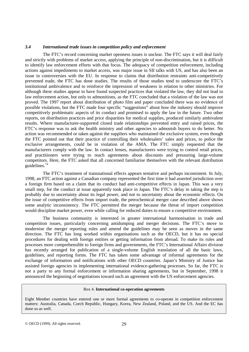#### *3.4 International trade issues in competition policy and enforcement*

 The FTC's record concerning market openness issues is unclear. The FTC says it will deal fairly and strictly with problems of market access, applying the principle of non-discrimination, but it is difficult to identify law enforcement efforts with that focus. The adequacy of competition enforcement, including actions against impediments to market access, was major issue in SII talks with US, and has also been an issue in controversies with the EU. In response to claims that distribution restraints anti-competitively prevented trade, the FTC has done studies. The results of those studies tend to underscore the FTC's institutional ambivalence and to reinforce the impression of weakness in relation to other ministries. For although these studies appear to have found suspected practices that violated the law, they did not lead to law enforcement action, but only to admonitions, as the FTC concluded that a violation of the law was not proved. The 1997 report about distribution of photo film and paper concluded there was no evidence of possible violations, but the FTC made four specific "suggestions" about how the industry should improve competitively problematic aspects of its conduct and promised to apply the law in the future. Two other reports, on distribution practices and price disparities for medical supplies, produced similarly ambivalent results. Where manufacturer-supported closed trade relationships prevented entry and raised prices, the FTC's response was to ask the health ministry and other agencies to admonish buyers to do better. No action was recommended or taken against the suppliers who maintained the exclusive system, even though the FTC pointed out that their practice of controlling their wholesalers' sales and prices, to police the exclusive arrangements, could be in violation of the AMA. The FTC simply requested that the manufacturers comply with the law. In contact lenses, manufacturers were trying to control retail prices, and practitioners were trying to reach agreements about discounts and pressuring large-volume competitors. Here, the FTC asked that all concerned familiarise themselves with the relevant distribution guidelines. $74$ 

 The FTC's treatment of transnational effects appears tentative and perhaps inconsistent. In July, 1998, an FTC action against a Canadian company represented the first time it had asserted jurisdiction over a foreign firm based on a claim that its conduct had anti-competitive effects in Japan. This was a very small step, for the conduct at issue apparently took place in Japan. The FTC's delay in taking the step is probably due to uncertainty about its legal power, and not to uncertainty about the economic effects. On the issue of competitive effects from import trade, the petrochemical merger case described above shows some analytic inconsistency. The FTC permitted the merger because the threat of import competition would discipline market power, even while calling for reduced duties to ensure a competitive environment.

 The business community is interested in greater international harmonisation in trade and competition issues, particularly concerning antidumping and merger decisions. The FTC's move to modernise the merger reporting rules and amend the guidelines may be seen as moves in the same direction. The FTC has long worked within organisations such as the OECD, but it has no special procedures for dealing with foreign entities or getting information from abroad. To make its rules and processes more comprehensible to foreign firms and governments, the FTC's International Affairs division has recently arranged for publication of a single-volume English translation of all the basic laws, guidelines, and reporting forms. The FTC has taken some advantage of informal agreements for the exchange of information and notifications with other OECD countries. Japan's Ministry of Justice has assisted foreign agencies in implementing international evidence-gathering processes. So far, the FTC is not a party to any formal enforcement or information sharing agreements, but in September, 1998 it announced the beginning of negotiations toward such an agreement with the US enforcement agencies.

#### Box 4. **International co-operation agreements**

Eight Member countries have entered one or more formal agreements to co-operate in competition enforcement matters: Australia, Canada, Czech Republic, Hungary, Korea, New Zealand, Poland, and the US. And the EC has done so as well.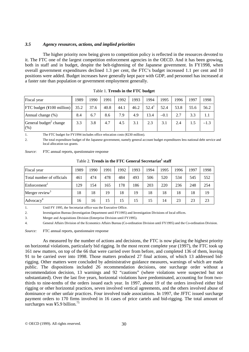# *3.5 Agency resources, actions, and implied priorities*

 The higher priority now being given to competition policy is reflected in the resources devoted to it. The FTC one of the largest competition enforcement agencies in the OECD. And it has been growing, both in staff and in budget, despite the belt-tightening of the Japanese government. In FY1998, when overall government expenditures declined 1.3 per cent, the FTC's budget increased 1.1 per cent and 10 positions were added. Budget increases have generally kept pace with GDP, and personnel has increased at a faster rate than population or government employment generally.

| Fiscal year                                | 1989 | 1990 | 1991 | 1992 | 1993 | 1994     | 1995   | 1996 | 1997 | 1998   |
|--------------------------------------------|------|------|------|------|------|----------|--------|------|------|--------|
| FTC budget (¥100 million)                  | 35.2 | 37.6 | 40.8 | 44.1 | 46.2 | $52.4^1$ | 52.4   | 53.8 | 55.6 | 56.2   |
| Annual change (%)                          | 8.4  | 6.7  | 8.6  | 7.9  | 4.9  | 13.4     | $-0.1$ | 2.7  | 3.3  | 1.1    |
| General budget <sup>2</sup> change<br>(% ) | 3.3  | 3.8  | 4.7  | 4.5  | 3.1  | 2.3      | 3.1    | 2.4  | 1.5  | $-1.3$ |

|  | Table 1. Trends in the FTC budget |  |  |  |
|--|-----------------------------------|--|--|--|
|--|-----------------------------------|--|--|--|

1. The FTC budget for FY1994 includes office relocation costs (¥230 million).

2. The total expenditure budget of the Japanese government, namely general account budget expenditures less national debt service and local allocation tax grants.

*Source*: FTC annual reports, questionnaire response

| Fiscal year                | 1989 | 1990 | 1991 | 1992 | 1993 | 1994 | 1995 | 1996 | 1997 | 1998 |
|----------------------------|------|------|------|------|------|------|------|------|------|------|
| Total number of officials  | 461  | 474  | 478  | 484  | 493  | 506  | 520  | 534  | 545  | 552  |
| Enforcement <sup>2</sup>   | 129  | 154  | 165  | 178  | 186  | 203  | 220  | 236  | 248  | 254  |
| Merger review <sup>3</sup> | 18   | 18   | 19   | 18   | 19   | 18   | 18   | 18   | 18   | 19   |
| Advocacy <sup>4</sup>      | 16   | 16   | 15   | 15   | 15   | 15   | 14   | 23   | 23   | 23   |

Table 2. **Trends in the FTC General Secretariat<sup>1</sup> staff** 

1. Until FY 1995, the Secretariat office was the Executive Office.

2. Investigation Bureau (Investigation Department until FY1995) and Investigation Divisions of local offices.

3. Merger and Acquisitions Division (Enterprise Division until FY1995).

4. General Affairs Division of the Economics Affairs Bureau (Co-ordination Division until FY1995) and the Co-ordination Division.

*Source:* FTC annual reports, questionnaire response

 As measured by the number of actions and decisions, the FTC is now placing the highest priority on horizontal violations, particularly bid rigging. In the most recent complete year (1997), the FTC took up 161 new matters, on top of the 66 that were carried over from before, and completed 136 of them, leaving 91 to be carried over into 1998. Those matters produced 27 final actions, of which 13 addressed bidrigging. Other matters were concluded by administrative guidance measures, warnings of which are made public. The dispositions included 26 recommendation decisions, one surcharge order without a recommendation decision, 13 warnings and 92 "cautions" (where violations were suspected but not substantiated). Over the last five years, horizontal violations have predominated, accounting for from twothirds to nine-tenths of the orders issued each year. In 1997, about 19 of the orders involved either bid rigging or other horizontal practices, seven involved vertical agreements, and the others involved abuse of dominance or other unfair practices. Four involved trade associations. In 1997, the JFTC issued surcharge payment orders to 170 firms involved in 16 cases of price cartels and bid-rigging. The total amount of surcharges was ¥5.9 billion.<sup>75</sup>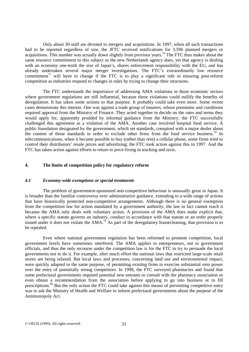Only about 30 staff are devoted to mergers and acquisitions. In 1997, when all such transactions had to be reported regardless of size, the JFTC received notifications for 3,596 planned mergers or acquisitions. This number was actually down slightly from previous years.<sup>76</sup> The FTC thus makes about the same resource commitment to this subject as the new Netherlands agency does, yet that agency is dealing with an economy one-tenth the size of Japan's, shares enforcement responsibility with the EU, and has already undertaken several major merger investigations. The FTC's extraordinarily low resource commitment<sup>77</sup> will have to change if the FTC is to play a significant role in ensuring post-reform competition as industries respond to changes in rules by trying to change their structures.

 The FTC understands the importance of addressing AMA violations in those economic sectors where government regulations are still influential, because those violations could nullify the benefits of deregulation. It has taken some actions to that purpose. It probably could take even more. Some recent cases demonstrate this interest. One was against a trade group of insurers, whose premiums and conditions required approval from the Ministry of Finance. They acted together to decide on the rates and terms they would apply for, apparently prodded by informal guidance from the Ministry; the FTC successfully challenged this agreement as a violation of the AMA. Another case involved hospital food service. A public foundation designated by the government, which set standards, conspired with a major dealer about the content of those standards in order to exclude other firms from the food service business.<sup>78</sup> In telecommunications, when it became possible to buy (rather than rent) a cellular phone, some firms tried to control their distributors' resale prices and advertising; the FTC took action against this in 1997. And the FTC has taken action against efforts to return to price-fixing in trucking and taxis.

# **4. The limits of competition policy for regulatory reform**

#### *4.1 Economy-wide exemptions or special treatments*

 The problem of government-sponsored anti-competitive behaviour is unusually great in Japan. It is broader than the familiar controversy over administrative guidance, extending to a wide range of actions that have historically protected non-competitive arrangements. Although there is no general exemption from the competition law for action mandated by a government authority, the law in fact cannot reach it because the AMA only deals with voluntary action. A provision of the AMA does make explicit that, where a specific statute governs an industry, conduct in accordance with that statute or an order properly issued under it does not violate the AMA.<sup>79</sup> As part of the deregulatory housecleaning, that provision is to be repealed.

 Even where national government regulation has been reformed to promote competition, local government levels have sometimes interfered. The AMA applies to entrepreneurs, not to government officials, and thus the only recourse under the competition law is for the FTC to try to persuade the local governments not to do it. For example, after much effort the national laws that restricted large-scale retail stores are being relaxed. But local laws and processes, concerning land use and environmental impact, were quickly adapted to the same purpose, of permitting existing firms to exercise substantial veto power over the entry of potentially strong competitors. In 1998, the FTC surveyed pharmacies and found that some prefectural governments required potential new entrants to consult with the pharmacy association or even obtain a recommendation from the association before applying to go into business or to fill prescriptions.<sup>80</sup> But the only action the FTC could take against this means of preventing competitive entry was to ask the Ministry of Health and Welfare to inform prefectural governments about the purpose of the Antimonopoly Act.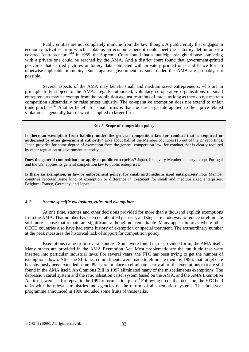Public entities are not completely immune from the law, though. A public entity that engages in economic activities from which it obtains an economic benefit could meet the statutory definition of a covered "entrepreneur. "<sup>81</sup> In 1989, the Supreme Court found that a municipal slaughterhouse competing with a private one could be reached by the AMA. And a district court found that government-printed postcards that carried pictures or lottery data competed with privately printed ones and hence lost an otherwise-applicable immunity. Suits against government as such under the AMA are probably not possible.

 Several aspects of the AMA may benefit small and medium sized entrepreneurs, who are in principle fully subject to the AMA. Legally-authorised, voluntary co-operative organisations of small entrepreneurs may be exempt from the prohibition against restraints of trade, as long as they do not restrain competition substantially or raise prices unjustly. The co-operative exemption does not extend to unfair trade practices.<sup>82</sup> Another benefit for small firms is that the surcharge rate applied to their price-related violations is generally half of what is applied to larger firms.

#### Box 5. **Scope of competition policy**

**Is there an exemption from liability under the general competition law for conduct that is required or authorised by other government authority?** Like about half of the Member countries (15 out of the 27 reporting), Japan provides for some degree of exemption from the general competition law, for conduct that is clearly required by other regulation or government authority.

**Does the general competition law apply to public enterprises?** Japan, like every Member country except Portugal and the US, applies its general competition law to public enterprises.

**Is there an exemption, in law or enforcement policy, for small and medium sized enterprises?** Four Member countries reported some kind of exemption or difference in treatment for small and medium sized enterprises: Belgium, France, Germany, and Japan.

#### *4.2 Sector-specific exclusions, rules and exemptions*

 At one time, statutes and other decisions provided for more than a thousand explicit exemptions from the AMA. That number has been cut about 90 per cent, and steps are underway to reduce or eliminate still more. Those that remain are significant, although not remarkable. Many appear in areas where other OECD countries also have had some history of exemption or special treatment. The extraordinary number at the peak measures the historical lack of support for competition policy.

 Exemptions came from several sources. Some were found in, or provided for in, the AMA itself. Many others are provided in the AMA Exemption Act. Most problematic are the multitude that were inserted into particular industrial laws. For several years, the FTC has been trying to get the number of exemptions down. After the SII talks, commitments were made to eliminate them by 1996; that target date has obviously been extended some. Plans are in place to eliminate nearly all of the exemptions that are still found in the AMA itself. An Omnibus Bill in 1997 eliminated many of the miscellaneous exemptions. The depression cartel system and the rationalisation cartel system based on the AMA, and the AMA Exemption Act itself, were set for repeal in the 1997 reform action plan.<sup>83</sup> Following up on that decision, the FTC held talks with the relevant ministries and agencies on the reform of all exemption systems. The three-year programme announced in 1998 included some fruits of those talks.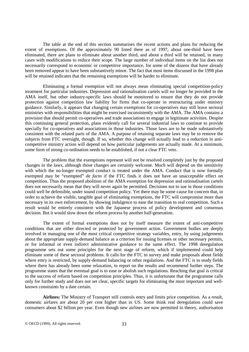The table at the end of this section summarises the recent actions and plans for reducing the extent of exemptions. Of the approximately 90 listed there as of 1997, about one-third have been eliminated, there are plans to eliminate about another third, and about a third will be retained, in many cases with modifications to reduce their scope. The large number of individual items on the list does not necessarily correspond to economic or competitive importance, for some of the dozens that have already been removed appear to have been substantively minor. The fact that most items discussed in the 1998 plan will be retained indicates that the remaining exemptions will be harder to eliminate.

 Eliminating a formal exemption will not always mean eliminating special competition-policy treatment for particular industries. Depression and rationalisation cartels will no longer be provided in the AMA itself, but other industry-specific laws should be monitored to ensure that they do not provide protection against competition law liability for firms that co-operate in restructuring under ministry guidance. Similarly, it appears that changing certain exemptions for co-operatives may still leave sectoral ministries with responsibilities that might be exercised inconsistently with the AMA. The AMA contains a provision that should permit co-operatives and trade associations to engage in legitimate activities. Despite this continuing general protection, plans evidently call for several industrial laws to continue to provide specially for co-operatives and associations in those industries. Those laws are to be made substantively consistent with the related parts of the AMA. A purpose of retaining separate laws may be to remove the subjects from FTC oversight, though. If so, whether this change will actually lead to a reduction in anticompetitive ministry action will depend on how particular judgements are actually made. At a minimum, some form of strong co-ordination needs to be established, if not a clear FTC veto.

 The problem that the exemptions represent will not be resolved completely just by the proposed changes in the laws, although those changes are certainly welcome. Much will depend on the sensitivity with which the no-longer exempted conduct is treated under the AMA. Conduct that is now formally exempted may be "exempted" *de facto* if the FTC finds it does not have an unacceptable effect on competition. Thus the proposed abolition of the AMA exemption for depression and rationalisation cartels does not necessarily mean that they will never again be permitted. Decisions not to sue in those conditions could well be defensible, under sound competition policy. Yet there may be some cause for concern that, in order to achieve the visible, tangible goal of eliminating exemptions, the FTC will compromise more than necessary in its own enforcement, by showing indulgence to ease the transition to real competition. Such a result would be entirely consistent with the Japanese process of policy development and consensus decision. But it would slow down the reform process by another half-generation.

 The extent of formal exemptions does not by itself measure the extent of anti-competitive conditions that are either directed or protected by government action. Government bodies are deeply involved in managing one of the most critical competitive strategy variables, entry, by using judgements about the appropriate supply-demand balance as a criterion for issuing licenses or other necessary permits, or for informal or even indirect administrative guidance to the same effect. The 1998 deregulation programme sets out some principles for the next stage of reform, which if implemented could help eliminate some of these sectoral problems. It calls for the FTC to survey and make proposals about fields where entry is restricted, by supply-demand balancing or other regulations. And the FTC is to study fields where there has already been some relaxation, to report on the results and recommend further steps. The programme states that the eventual goal is to ease or abolish such regulations. Reaching that goal is critical to the success of reform based on competition principles. Thus, it is unfortunate that the programme calls only for further study and does not set clear, specific targets for eliminating the most important and wellknown constraints by a date certain.

**Airlines:** The Ministry of Transport still controls entry and limits price competition. As a result, domestic airfares are about 20 per cent higher than in US. Some think real deregulation could save consumers about \$2 billion per year. Even though new airlines are now permitted in theory, authorisation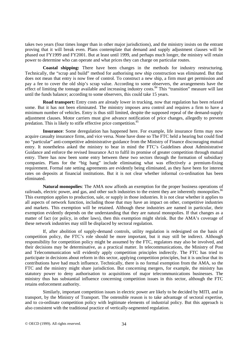takes two years (four times longer than in other major jurisdictions), and the ministry insists on the entrant proving that it will break even. Plans contemplate that demand and supply adjustment clauses will be phased out FY1999 and FY2001. But at least until 1999, and perhaps much longer, the ministry will retain power to determine who can operate and what prices they can charge on particular routes.

 **Coastal shipping:** There have been changes in the methods for industry restructuring. Technically, the "scrap and build" method for authorising new ship construction was eliminated. But that does not mean that entry is now free of control. To construct a new ship, a firm must get permission and pay a fee to cover the old ship's scrap value. According to some observers, the arrangements have the effect of limiting the tonnage available and increasing industry costs.<sup>84</sup> This "transition" measure will last until the funds balance; according to some observers, this could take 15 years.

**Road transport:** Entry costs are already lower in trucking, now that regulation has been relaxed some. But it has not been eliminated. The ministry imposes area control and requires a firm to have a minimum number of vehicles. Entry is thus still limited, despite the supposed repeal of the demand-supply adjustment clauses. Motor carriers must give advance notification of price changes, allegedly to prevent predation. This is likely to stifle effective price competition.<sup>85</sup>

**Insurance**: Some deregulation has happened here. For example, life insurance firms may now acquire casualty insurance firms, and vice versa. None have done so The FTC held a hearing but could find no "particular" anti-competitive administrative guidance from the Ministry of Finance discouraging mutual entry. It nonetheless asked the ministry to bear in mind the FTC's Guidelines about Administrative Guidance and enforce the revised Insurance Act to fulfil its promise of greater competition through mutual entry. There has now been some entry between these two sectors through the formation of subsidiary companies. Plans for the "big bang" include eliminating what was effectively a premium-fixing requirement. Formal rate setting agreements are evidently being eliminated, as they have been for interest rates on deposits at financial institutions. But it is not clear whether informal co-ordination has been eliminated.

**Natural monopolies**: The AMA now affords an exemption for the proper business operations of railroads, electric power, and gas, and other such industries to the extent they are inherently monopolies.<sup>86</sup> This exemption applies to production, sale, or supply in those industries. It is not clear whether it applies to all aspects of network function, including those that may have an impact on other, competitive industries and markets. This exemption will be retained. Although these industries are named in particular, their exemption evidently depends on the understanding that they are natural monopolies. If that changes as a matter of fact (or policy, in other laws), then this exemption might shrink. But the AMA's coverage of these network industries may still be displaced by sectoral regulation.

 If, after abolition of supply-demand controls, utility regulation is redesigned on the basis of competition policy, the FTC's role should be more important, but it may still be indirect. Although responsibility for competition policy might be assumed by the FTC, regulators may also be involved, and their decisions may be determinative, as a practical matter. In telecommunications, the Ministry of Post and Telecommunication will evidently apply competition principles indirectly. The FTC has tried to participate in decisions about reform in this sector, applying competition principles, but it is unclear that its contributions have had much influence. Technically, there is no formal exemption from the AMA, so the FTC and the ministry might share jurisdiction. But concerning mergers, for example, the ministry has statutory power to deny authorisation to acquisitions of major telecommunications businesses. The ministry thus has substantial influence concerning competition issues in this sector, although the FTC retains enforcement authority.

 Similarly, important competition issues in electric power are likely to be decided by MITI, and in transport, by the Ministry of Transport. The ostensible reason is to take advantage of sectoral expertise, and to co-ordinate competition policy with legitimate elements of industrial policy. But this approach is also consistent with the traditional practice of vertically-segmented regulation.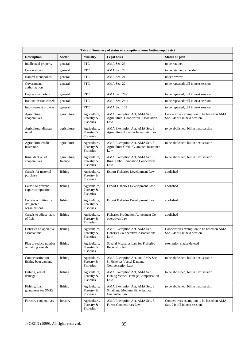| Table 3. Summary of status of exemptions from Antimonopoly Act |                         |                                            |                                                                                      |                                                                            |  |  |  |  |  |
|----------------------------------------------------------------|-------------------------|--------------------------------------------|--------------------------------------------------------------------------------------|----------------------------------------------------------------------------|--|--|--|--|--|
| <b>Description</b>                                             | <b>Sector</b>           | <b>Ministry</b>                            | <b>Legal</b> basis                                                                   | <b>Status or plan</b>                                                      |  |  |  |  |  |
| Intellectual property                                          | general                 | <b>FTC</b>                                 | AMA Sec. 23                                                                          | to be retained                                                             |  |  |  |  |  |
| Cooperatives                                                   | general                 | <b>FTC</b>                                 | AMA Sec. 24                                                                          | to be retained, amended                                                    |  |  |  |  |  |
| Natural monopolies                                             | general                 | <b>FTC</b>                                 | AMA Sec. 21                                                                          | under review                                                               |  |  |  |  |  |
| Government<br>authorization                                    | general                 | <b>FTC</b>                                 | AMA Sec. 22                                                                          | to be repealed; bill in next session                                       |  |  |  |  |  |
| Depression cartels                                             | general                 | <b>FTC</b>                                 | AMA Sec. 24-3                                                                        | to be repealed; bill in next session                                       |  |  |  |  |  |
| Rationalization cartels                                        | general                 | <b>FTC</b>                                 | AMA Sec. 24-4                                                                        | to be repealed; bill in next session                                       |  |  |  |  |  |
| Improvement projects                                           | general                 | <b>FTC</b>                                 | AMA Sec. 103                                                                         | to be repealed; bill in next session                                       |  |  |  |  |  |
| Agricultural<br>cooperatives                                   | agriculture             | Agriculture,<br>Forestry &<br>Fisheries    | AMA Exemption Act, AMA Sec. 8;<br><b>Agricultural Cooperative Association</b><br>Law | Cooperatives exemption to be based on AMA<br>Sec. 24; bill in next session |  |  |  |  |  |
| Agricultural disaster<br>relief                                | agriculture             | Agriculture,<br>Forestry &<br>Fisheries    | AMA Exemption Act, AMA Sec. 8;<br>Agricultural Disaster Indemnity Law                | to be abolished; bill in next session                                      |  |  |  |  |  |
| Agriculture credit<br>insurance                                | agriculture             | Agriculture,<br>Forestry &<br>Fisheries    | AMA Exemption Act, AMA Sec. 8;<br>Agriculture Credit Guarantee Insurance<br>Law      | to be abolished; bill in next session                                      |  |  |  |  |  |
| Rural debt relief<br>cooperatives                              | agriculture,<br>finance | Agriculture,<br>Forestry &<br>Fisheries    | AMA Exemption Act, AMA Sec. 8;<br>Rural Debt Liquidation Cooperative<br>Law          | to be abolished; bill in next session                                      |  |  |  |  |  |
| Cartels for material<br>purchase                               | fishing                 | Agriculture,<br>Forestry &<br>Fisheries    | Export Fisheries Development Law                                                     | abolished                                                                  |  |  |  |  |  |
| Cartels to prevent<br>export competition                       | fishing                 | Agriculture,<br>Forestry $\&$<br>Fisheries | Export Fisheries Development Law                                                     | abolished                                                                  |  |  |  |  |  |
| Certain activities by<br>designated<br>organizations           | fishing                 | Agriculture,<br>Forestry &<br>Fisheries    | Export Fisheries Development Law                                                     | abolished                                                                  |  |  |  |  |  |
| Cartels to adjust hauls<br>of fish                             | fishing                 | Agriculture,<br>Forestry &<br>Fisheries    | Fisheries Production Adjustment Co-<br>operatives Law                                | abolished                                                                  |  |  |  |  |  |
| Fisheries co-operative<br>associations                         | fishing                 | Agriculture,<br>Forestry &<br>Fisheries    | AMA Exemption Act, AMA Sec. 8;<br><b>Fisheries Co-operative Associations</b><br>Law  | Cooperatives exemption to be based on AMA<br>Sec. 24: bill in next session |  |  |  |  |  |
| Plan to reduce number<br>of fishing vessels                    | fishing                 | Agriculture,<br>Forestry &<br>Fisheries    | Special Measures Law for Fisheries<br>Reconstruction                                 | exemption clause deleted                                                   |  |  |  |  |  |
| Compensation for<br>fishing boat damage                        | fishing                 | Agriculture,<br>Forestry &<br>Fisheries    | AMA Exemption Act, and AMA Sec.<br>8; Fisheries Vessel Damage<br>Compensation Law    | to be abolished; bill in next session                                      |  |  |  |  |  |
| Fishing, vessel<br>damage                                      | fishing                 | Agriculture,<br>Forestry &<br>Fisheries    | AMA Exemption Act, AMA Sec. 8;<br><b>Fishing Vessel Damage Compensation</b><br>Law   | to be abolished; bill in next session                                      |  |  |  |  |  |
| Fishing, loan<br>guarantees for SMEs                           | fishing                 | Agriculture,<br>Forestry &<br>Fisheries    | AMA Exemption Act, AMA Sec. 8;<br>Small and Medium Fisheries Loan<br>Guarantee Law   | to be abolished; bill in next session                                      |  |  |  |  |  |
| Forestry cooperatives                                          | forestry                | Agriculture,<br>Forestry &<br>Fisheries    | AMA Exemption Act, AMA Sec. 8;<br>Forest Cooperatives Law                            | Cooperatives exemption to be based on AMA<br>Sec. 24; bill in next session |  |  |  |  |  |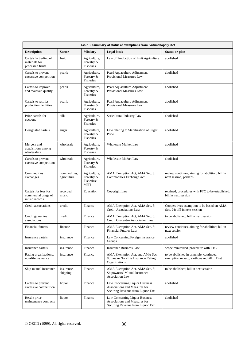| Table 3. Summary of status of exemptions from Antimonopoly Act |                             |                                                         |                                                                                                     |                                                                                        |  |  |  |  |  |
|----------------------------------------------------------------|-----------------------------|---------------------------------------------------------|-----------------------------------------------------------------------------------------------------|----------------------------------------------------------------------------------------|--|--|--|--|--|
| <b>Description</b>                                             | <b>Sector</b>               | <b>Ministry</b>                                         | <b>Legal</b> basis                                                                                  | <b>Status or plan</b>                                                                  |  |  |  |  |  |
| Cartels in trading of<br>materials for<br>processed fruits     | fruit                       | Agriculture,<br>Forestry &<br>Fisheries                 | Law of Production of Fruit Agriculture                                                              | abolished                                                                              |  |  |  |  |  |
| Cartels to prevent<br>excessive competition                    | pearls                      | Agriculture,<br>Forestry &<br>Fisheries                 | Pearl Aquaculture Adjustment<br>Provisional Measures Law                                            | abolished                                                                              |  |  |  |  |  |
| Cartels to improve<br>and maintain quality                     | pearls                      | Agriculture,<br>Forestry &<br>Fisheries                 | Pearl Aquaculture Adjustment<br>Provisional Measures Law                                            | abolished                                                                              |  |  |  |  |  |
| Cartels to restrict<br>production facilities                   | pearls                      | Agriculture,<br>Forestry &<br>Fisheries                 | Pearl Aquaculture Adjustment<br>Provisional Measures Law                                            | abolished                                                                              |  |  |  |  |  |
| Price cartels for<br>cocoons                                   | silk                        | Agriculture,<br>Forestry &<br>Fisheries                 | Sericultural Industry Law                                                                           | abolished                                                                              |  |  |  |  |  |
| Designated cartels                                             | sugar                       | Agriculture,<br>Forestry $\&$<br>Fisheries              | Law relating to Stabilization of Sugar<br>Price                                                     | abolished                                                                              |  |  |  |  |  |
| Mergers and<br>acquisitions among<br>wholesalers               | wholesale                   | Agriculture,<br>Forestry &<br>Fisheries                 | <b>Wholesale Market Law</b>                                                                         | abolished                                                                              |  |  |  |  |  |
| Cartels to prevent<br>excessive competition                    | wholesale                   | Agriculture,<br>Forestry &<br>Fisheries                 | Wholesale Market Law                                                                                | abolished                                                                              |  |  |  |  |  |
| Commodities<br>exchanges                                       | commodities,<br>agriculture | Agriculture,<br>Forestry &<br>Fisheries;<br><b>MITI</b> | AMA Exemption Act, AMA Sec. 8;<br>Commodities Exchange Act                                          | review continues, aiming for abolition; bill in<br>next session, perhaps               |  |  |  |  |  |
| Cartels for fees for<br>commercial usage of<br>music records   | recorded<br>music           | Education                                               | Copyright Law                                                                                       | retained; procedures with FTC to be established;<br>bill in next session               |  |  |  |  |  |
| Credit associations                                            | credit                      | Finance                                                 | AMA Exemption Act, AMA Sec. 8;<br><b>Credit Associations Law</b>                                    | Cooperatives exemption to be based on AMA<br>Sec. 24; bill in next session             |  |  |  |  |  |
| Credit guarantee<br>associations                               | credit                      | Finance                                                 | AMA Exemption Act, AMA Sec. 8;<br>Credit Guarantee Association Law                                  | to be abolished; bill in next session                                                  |  |  |  |  |  |
| <b>Financial futures</b>                                       | finance                     | Finance                                                 | AMA Exemption Act, AMA Sec. 8;<br><b>Financial Futures Law</b>                                      | review continues, aiming for abolition; bill in<br>next session                        |  |  |  |  |  |
| Insurance cartels                                              | insurance                   | Finance                                                 | Law Concerning Foreign Insurance<br>Groups                                                          | abolished                                                                              |  |  |  |  |  |
| Insurance cartels                                              | insurance                   | Finance                                                 | <b>Insurance Business Law</b>                                                                       | scope minimized, procedure with FTC                                                    |  |  |  |  |  |
| Rating organizations,<br>non-life insurance                    | insurance                   | Finance                                                 | AMA Exemption Act, and AMA Sec.<br>8; Law re Non-life Insurance Rating<br>Organizations             | to be abolished in principle; continued<br>exemption re auto, earthquake; bill in Diet |  |  |  |  |  |
| Ship mutual insurance                                          | insurance,<br>shipping      | Finance                                                 | AMA Exemption Act, AMA Sec. 8;<br>Shipowners' Mutual Insurance<br><b>Association Law</b>            | to be abolished; bill in next session                                                  |  |  |  |  |  |
| Cartels to prevent<br>excessive competition                    | liquor                      | Finance                                                 | Law Concerning Liquor Business<br>Associations and Measures for<br>Securing Revenue from Liquor Tax | abolished                                                                              |  |  |  |  |  |
| Resale price<br>maintenance contracts                          | liquor                      | Finance                                                 | Law Concerning Liquor Business<br>Associations and Measures for<br>Securing Revenue from Liquor Tax | abolished                                                                              |  |  |  |  |  |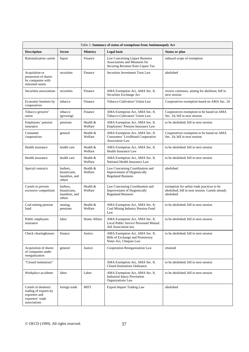| Table 3. Summary of status of exemptions from Antimonopoly Act                                    |                                                      |                     |                                                                                                     |                                                                                                             |  |  |  |  |  |
|---------------------------------------------------------------------------------------------------|------------------------------------------------------|---------------------|-----------------------------------------------------------------------------------------------------|-------------------------------------------------------------------------------------------------------------|--|--|--|--|--|
| <b>Description</b>                                                                                | <b>Sector</b>                                        | <b>Ministry</b>     | <b>Legal</b> basis                                                                                  | <b>Status or plan</b>                                                                                       |  |  |  |  |  |
| Rationalization cartels                                                                           | liquor                                               | Finance             | Law Concerning Liquor Business<br>Associations and Measures for<br>Securing Revenue from Liquor Tax | reduced scope of exemption                                                                                  |  |  |  |  |  |
| Acquisition or<br>possession of shares<br>by companies with<br>entrusted assets                   | securities                                           | Finance             | Securities Investment Trust Law                                                                     | abolished                                                                                                   |  |  |  |  |  |
| Securities associations                                                                           | securities                                           | Finance             | AMA Exemption Act, AMA Sec. 8;<br>Securities Exchange Act                                           | review continues, aiming for abolition; bill in<br>next session                                             |  |  |  |  |  |
| Economic business by<br>cooperatives                                                              | tobacco                                              | Finance             | Tobacco Cultivators' Union Law                                                                      | Cooperatives exemption based on AMA Sec. 24                                                                 |  |  |  |  |  |
| Tobacco growers'<br>union                                                                         | tobacco<br>(growing)                                 | Finance             | AMA Exemption Act, AMA Sec. 8;<br>Tobacco Cultivators' Union Law                                    | Cooperatives exemption to be based on AMA<br>Sec. 24; bill in next session                                  |  |  |  |  |  |
| Employees' pension<br>insurance                                                                   | pensions                                             | Health &<br>Welfare | AMA Exemption Act, AMA Sec. 8;<br>Employees' Pension Insurance Law                                  | to be abolished; bill in next session                                                                       |  |  |  |  |  |
| Consumer<br>cooperatives                                                                          | general                                              | Health &<br>Welfare | AMA Exemption Act, AMA Sec. 8;<br>Consumers' Livelihood Cooperative<br><b>Association Law</b>       | Cooperatives exemption to be based on AMA<br>Sec. 24; bill in next session                                  |  |  |  |  |  |
| Health insurance                                                                                  | health care                                          | Health &<br>Welfare | AMA Exemption Act, AMA Sec. 8;<br><b>Health Insurance Law</b>                                       | to be abolished; bill in next session                                                                       |  |  |  |  |  |
| Health insurance                                                                                  | health care                                          | Health &<br>Welfare | AMA Exemption Act, AMA Sec. 8;<br>National Health Insurance Law                                     | to be abolished; bill in next session                                                                       |  |  |  |  |  |
| Special contracts                                                                                 | barbers.<br>beauticians,<br>laundries, and<br>others | Health &<br>Welfare | Law Concerning Coordination and<br>Improvement of Hygienically<br><b>Regulated Business</b>         | abolished                                                                                                   |  |  |  |  |  |
| Cartels to prevent<br>excessive competition                                                       | barbers.<br>beauticians,<br>laundries, and<br>others | Health &<br>Welfare | Law Concerning Coordination and<br>Improvement of Hygienically<br><b>Regulated Business</b>         | exemption for unfair trade practices to be<br>abolished; bill in next session. Cartels already<br>abolished |  |  |  |  |  |
| Coal mining pension<br>fund                                                                       | mining,<br>pensions                                  | Health &<br>Welfare | AMA Exemption Act, AMA Sec. 8;<br>Coal Mining Industry Pension Fund<br>Law                          | to be abolished; bill in next session                                                                       |  |  |  |  |  |
| Public employees<br>insurance                                                                     | labor                                                | Home Affairs        | AMA Exemption Act, AMA Sec. 8;<br>Local Public Service Personnel Mutual<br>Aid Association law      | to be abolished; bill in next session                                                                       |  |  |  |  |  |
| Check clearinghouses                                                                              | finance                                              | Justice             | AMA Exemption Act, AMA Sec. 8;<br>Bills of Exchange and Promissory<br>Notes Act, Cheques Law        | to be abolished; bill in next session                                                                       |  |  |  |  |  |
| Acquisition of shares<br>of companies under<br>reorganization                                     | general                                              | Justice             | Cooperation Reorganization Law                                                                      | retained                                                                                                    |  |  |  |  |  |
| "Closed institutions"                                                                             |                                                      |                     | AMA Exemption Act, AMA Sec. 8;<br><b>Closed Institutions Ordinance</b>                              | to be abolished; bill in next session                                                                       |  |  |  |  |  |
| Workplace accidents                                                                               | labor                                                | Labor               | AMA Exemption Act, AMA Sec. 8;<br><b>Industrial Injury Prevention</b><br>Organizations Law          | to be abolished; bill in next session                                                                       |  |  |  |  |  |
| Cartels in domestic<br>trading of exports by<br>exporters and<br>exporters' trade<br>associations | foreign trade                                        | MITI                | <b>Export-Import Trading Law</b>                                                                    | abolished                                                                                                   |  |  |  |  |  |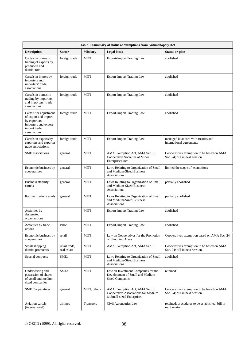| Table 3. Summary of status of exemptions from Antimonopoly Act                                                           |                              |                 |                                                                                                    |                                                                            |  |  |  |  |  |  |
|--------------------------------------------------------------------------------------------------------------------------|------------------------------|-----------------|----------------------------------------------------------------------------------------------------|----------------------------------------------------------------------------|--|--|--|--|--|--|
| <b>Description</b>                                                                                                       | <b>Sector</b>                | <b>Ministry</b> | <b>Legal basis</b>                                                                                 | <b>Status or plan</b>                                                      |  |  |  |  |  |  |
| Cartels in domestic<br>trading of exports by<br>producers and<br>distributors                                            | foreign trade                | <b>MITI</b>     | <b>Export-Import Trading Law</b>                                                                   | abolished                                                                  |  |  |  |  |  |  |
| Cartels in import by<br>importers and<br>importers' trade<br>associations                                                | foreign trade                | <b>MITI</b>     | <b>Export-Import Trading Law</b>                                                                   | abolished                                                                  |  |  |  |  |  |  |
| Cartels in domestic<br>trading by importers<br>and importers' trade<br>associations                                      | foreign trade                | <b>MITI</b>     | <b>Export-Import Trading Law</b>                                                                   | abolished                                                                  |  |  |  |  |  |  |
| Cartels for adjustment<br>of export and import<br>by exporters,<br>importers and export-<br>import trade<br>associations | foreign trade                | <b>MITI</b>     | <b>Export-Import Trading Law</b>                                                                   | abolished                                                                  |  |  |  |  |  |  |
| Cartels in exports by<br>exporters and exporter<br>trade associations                                                    | foreign trade                | <b>MITI</b>     | <b>Export-Import Trading Law</b>                                                                   | managed in accord with treaties and<br>international agreements            |  |  |  |  |  |  |
| <b>SME</b> associations                                                                                                  | general                      | <b>MITI</b>     | AMA Exemption Act, AMA Sec. 8;<br>Cooperative Societies of Minor<br>Enterprises Act                | Cooperatives exemption to be based on AMA<br>Sec. 24; bill in next session |  |  |  |  |  |  |
| Economic business by<br>cooperatives                                                                                     | general                      | <b>MITI</b>     | Laws Relating to Organization of Small<br>and Medium-Sized Business<br>Associations                | limited the scope of exemptions                                            |  |  |  |  |  |  |
| <b>Business stability</b><br>cartels                                                                                     | general                      | <b>MITI</b>     | Laws Relating to Organization of Small<br>and Medium-Sized Business<br>Associations                | partially abolished                                                        |  |  |  |  |  |  |
| Rationalization cartels                                                                                                  | general                      | <b>MITI</b>     | Laws Relating to Organization of Small<br>and Medium-Sized Business<br>Associations                | partially abolished                                                        |  |  |  |  |  |  |
| Activities by<br>designated<br>organizations                                                                             |                              | <b>MITI</b>     | <b>Export-Import Trading Law</b>                                                                   | abolished                                                                  |  |  |  |  |  |  |
| Activities by trade<br>unions                                                                                            | labor                        | <b>MITI</b>     | <b>Export-Import Trading Law</b>                                                                   | abolished                                                                  |  |  |  |  |  |  |
| Economic business by<br>cooperatives                                                                                     | retail                       | <b>MITI</b>     | Law on Cooperatives for the Promotion<br>of Shopping Areas                                         | Cooperatives exemption based on AMA Sec. 24                                |  |  |  |  |  |  |
| Small shopping<br>district promoters                                                                                     | retail trade,<br>real estate | <b>MITI</b>     | AMA Exemption Act, AMA Sec. 8                                                                      | Cooperatives exemption to be based on AMA<br>Sec. 24; bill in next session |  |  |  |  |  |  |
| Special contracts                                                                                                        | <b>SMEs</b>                  | <b>MITI</b>     | Laws Relating to Organization of Small<br>and Medium-Sized Business<br>Associations                | abolished                                                                  |  |  |  |  |  |  |
| Underwriting and<br>possession of shares<br>of small and medium-<br>sized companies                                      | <b>SMEs</b>                  | <b>MITI</b>     | Law on Investment Companies for the<br>Development of Small and Medium-<br><b>Sized Companies</b>  | retained                                                                   |  |  |  |  |  |  |
| <b>SME</b> Cooperatives                                                                                                  | general                      | MITI; others    | AMA Exemption Act, AMA Sec. 8;<br>Cooperative Associations for Medium<br>& Small-sized Enterprises | Cooperatives exemption to be based on AMA<br>Sec. 24; bill in next session |  |  |  |  |  |  |
| Aviation cartels<br>(international)                                                                                      | airlines                     | Transport       | Civil Aeronautics Law                                                                              | retained; procedures to be established; bill in<br>next session            |  |  |  |  |  |  |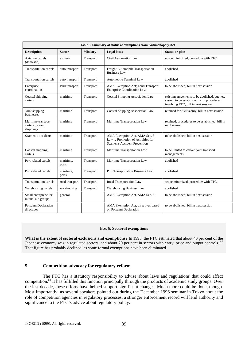| Table 3. Summary of status of exemptions from Antimonopoly Act |                    |                 |                                                                                                      |                                                                                                                                  |  |  |  |  |  |
|----------------------------------------------------------------|--------------------|-----------------|------------------------------------------------------------------------------------------------------|----------------------------------------------------------------------------------------------------------------------------------|--|--|--|--|--|
| <b>Description</b>                                             | <b>Sector</b>      | <b>Ministry</b> | <b>Legal</b> basis                                                                                   | <b>Status or plan</b>                                                                                                            |  |  |  |  |  |
| <b>Aviation cartels</b><br>(domestic)                          | airlines           | Transport       | Civil Aeronautics Law                                                                                | scope minimized, procedure with FTC                                                                                              |  |  |  |  |  |
| Transportation cartels                                         | auto transport     | Transport       | Freight Automobile Transportation<br><b>Business Law</b>                                             | abolished                                                                                                                        |  |  |  |  |  |
| <b>Transportation cartels</b>                                  | auto transport     | Transport       | Automobile Terminal Law                                                                              | abolished                                                                                                                        |  |  |  |  |  |
| Enterprise<br>coordination                                     | land transport     | Transport       | AMA Exemption Act; Land Transport<br><b>Enterprise Coordination Law</b>                              | to be abolished; bill in next session                                                                                            |  |  |  |  |  |
| Coastal shipping<br>cartels                                    | maritime           | Transport       | Coastal Shipping Association Law                                                                     | existing agreements to be abolished, but new<br>system to be established, with procedures<br>involving FTC; bill in next session |  |  |  |  |  |
| Joint shipping<br>businesses                                   | maritime           | Transport       | <b>Coastal Shipping Association Law</b>                                                              | retained for SMEs only; bill in next session                                                                                     |  |  |  |  |  |
| Maritime transport<br>cartels (ocean<br>shipping)              | maritime           | Transport       | Maritime Transportation Law                                                                          | retained; procedures to be established; bill in<br>next session                                                                  |  |  |  |  |  |
| Seamen's accidents                                             | maritime           | Transport       | AMA Exemption Act, AMA Sec. 8;<br>Law re Promotion of Activities for<br>Seamen's Accident Prevention | to be abolished: bill in next session                                                                                            |  |  |  |  |  |
| Coastal shipping<br>cartels                                    | maritime           | Transport       | Maritime Transportation Law                                                                          | to be limited to certain joint transport<br>managements                                                                          |  |  |  |  |  |
| Port-related cartels                                           | maritime,<br>ports | Transport       | Maritime Transportation Law                                                                          | abolished                                                                                                                        |  |  |  |  |  |
| Port-related cartels                                           | maritime,<br>ports | Transport       | Port Transportation Business Law                                                                     | abolished                                                                                                                        |  |  |  |  |  |
| <b>Transportation cartels</b>                                  | road transport     | Transport       | Road Transportation Law                                                                              | scope minimized, procedure with FTC                                                                                              |  |  |  |  |  |
| Warehousing cartels                                            | warehousing        | Transport       | <b>Warehousing Business Law</b>                                                                      | abolished                                                                                                                        |  |  |  |  |  |
| Small entrepreneurs'<br>mutual aid groups                      | general            |                 | AMA Exemption Act, AMA Sec. 8                                                                        | to be abolished; bill in next session                                                                                            |  |  |  |  |  |
| Potsdam Declaration<br>directives                              |                    |                 | AMA Exemption Act; directives based<br>on Potsdam Declaration                                        | to be abolished: bill in next session                                                                                            |  |  |  |  |  |

#### Box 6. **Sectoral exemptions**

**What is the extent of sectoral exclusions and exemptions?** In 1995, the FTC estimated that about 40 per cent of the Japanese economy was in regulated sectors, and about 20 per cent in sectors with entry, price and output controls..<sup>87</sup> That figure has probably declined, as some formal exemptions have been eliminated.

#### **5. Competition advocacy for regulatory reform**

 The FTC has a statutory responsibility to advise about laws and regulations that could affect competition.88 It has fulfilled this function principally through the products of academic study groups. Over the last decade, these efforts have helped support significant changes. Much more could be done, though. Most importantly, as several speakers pointed out during the December 1996 seminar in Tokyo about the role of competition agencies in regulatory processes, a stronger enforcement record will lend authority and significance to the FTC's advice about regulatory policy.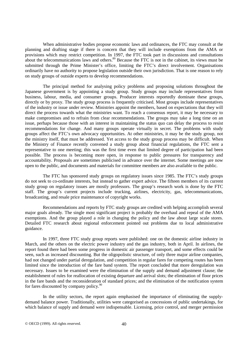When administrative bodies propose economic laws and ordinances, the FTC may consult at the planning and drafting stage if there is concern that they will include exemptions from the AMA or provisions which may restrict competition. In 1997, the FTC took part in discussions and consultations about the telecommunications laws and others.<sup>89</sup> Because the FTC is not in the cabinet, its views must be submitted through the Prime Minister's office, limiting the FTC's direct involvement. Organisations ordinarily have no authority to propose legislation outside their own jurisdiction. That is one reason to rely on study groups of outside experts to develop recommendations.

 The principal method for analysing policy problems and proposing solutions throughout the Japanese government is by appointing a study group. Study groups may include representatives from business, labour, media, and consumer groups. Producer interests reportedly dominate these groups, directly or by proxy. The study group process is frequently criticised. Most groups include representatives of the industry or issue under review. Ministries appoint the members, based on expectations that they will direct the process towards what the ministries want. To reach a consensus report, it may be necessary to make compromises and to refrain from clear recommendations. The groups may take a long time on an issue, perhaps because those with an interest in maintaining the status quo can delay the process to resist recommendations for change. And many groups operate virtually in secret. The problems with study groups affect the FTC's own advocacy opportunities. At other ministries, it may be the study group, not the ministry itself, that must be addressed. Yet access to the study group process may be difficult. When the Ministry of Finance recently convened a study group about financial regulations, the FTC sent a representative to one meeting; this was the first time even that limited degree of participation had been possible. The process is becoming more open, in response to public pressures for transparency and accountability. Proposals are sometimes publicised in advance over the internet. Some meetings are now open to the public, and documents and materials for committee members are also available to the public.

 The FTC has sponsored study groups on regulatory issues since 1985. The FTC's study groups do not seek to co-ordinate interests, but instead to gather expert advice. The fifteen members of its current study group on regulatory issues are mostly professors. The group's research work is done by the FTC staff. The group's current projects include trucking, airlines, electricity, gas, telecommunications, broadcasting, and resale price maintenance of copyright works.

 Recommendations and reports by FTC study groups are credited with helping accomplish several major goals already. The single most significant project is probably the overhaul and repeal of the AMA exemptions. And the group played a role in changing the policy and the law about large scale stores. Detailed FTC research about regional enforcement pointed out problems due to local administrative guidance.

 In 1997, three FTC study group reports were published: one on the domestic airline industry in March, and the others on the electric power industry and the gas industry, both in April. In airlines, the report found there had been some progress in domestic air passenger transport, and some effects could be seen, such as increased discounting. But the oligopolistic structure, of only three major airline companies, had not changed under partial deregulation, and competition in regular fares for competing routes has been limited since the introduction of the fare band system. The report concluded that more deregulation was necessary. Issues to be examined were the elimination of the supply and demand adjustment clause; the establishment of rules for reallocation of existing departure and arrival slots; the elimination of floor prices in the fare bands and the reconsideration of standard prices; and the elimination of the notification system for fares discounted by company policy.<sup>90</sup>

 In the utility sectors, the report again emphasised the importance of eliminating the supplydemand balance power. Traditionally, utilities were categorised as concessions of public undertakings, for which balance of supply and demand were indispensable. Licensing, price control, and merger permission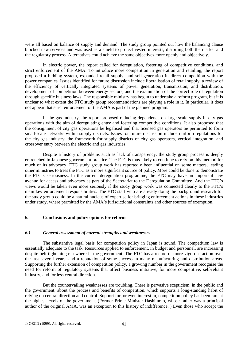were all based on balance of supply and demand. The study group pointed out how the balancing clause blocked new services and was used as a shield to protect vested interests, distorting both the market and the regulatory process. Alternatives could achieve the same objectives more openly and objectively.

 In electric power, the report called for deregulation, fostering of competitive conditions, and strict enforcement of the AMA. To introduce more competition in generation and retailing, the report proposed a bidding system, expanded retail supply, and self-generation in direct competition with the power companies. Issues identified for future discussion include liberalisation of retail supply, a review of the efficiency of vertically integrated systems of power generation, transmission, and distribution, development of competition between energy sectors, and the examination of the correct role of regulation through specific business laws. The responsible ministry has begun to undertake a reform program, but it is unclear to what extent the FTC study group recommendations are playing a role in it. In particular, it does not appear that strict enforcement of the AMA is part of the planned program.

 In the gas industry, the report proposed reducing dependence on large-scale supply in city gas operations with the aim of deregulating entry and fostering competitive conditions. It also proposed that the consignment of city gas operations be legalised and that licensed gas operators be permitted to form small-scale networks within supply districts. Issues for future discussion include uniform regulations for the city gas industry, the framework for supply districts of city gas operators, vertical integration, and crossover entry between the electric and gas industries.

 Despite a history of problems such as lack of transparency, the study group process is deeply entrenched in Japanese government practice. The FTC is thus likely to continue to rely on this method for much of its advocacy. FTC study group work has reportedly been influential on some matters, leading other ministries to treat the FTC as a more significant source of policy. More could be done to demonstrate the FTC's seriousness. In the current deregulation programme, the FTC may have an important new avenue for access and advocacy as part of the Secretariat to the Deregulation Committee. And the FTC's views would be taken even more seriously if the study group work was connected clearly to the FTC's main law enforcement responsibilities. The FTC staff who are already doing the background research for the study group could be a natural nucleus of expertise for bringing enforcement actions in these industries under study, where permitted by the AMA's jurisdictional constraints and other sources of exemption.

#### **6. Conclusions and policy options for reform**

# *6.1 General assessment of current strengths and weaknesses*

 The substantive legal basis for competition policy in Japan is sound. The competition law is essentially adequate to the task. Resources applied to enforcement, in budget and personnel, are increasing despite belt-tightening elsewhere in the government. The FTC has a record of more vigorous action over the last several years, and a reputation of some success in many manufacturing and distribution areas. Supporting the further extension of competition policy, a growing number in the government recognise the need for reform of regulatory systems that affect business initiative, for more competitive, self-reliant industry, and for less central direction.

 But the countervailing weaknesses are troubling. There is pervasive scepticism, in the public and the government, about the process and benefits of competition, which supports a long-standing habit of relying on central direction and control. Support for, or even interest in, competition policy has been rare at the highest levels of the government. (Former Prime Minister Hashimoto, whose father was a principal author of the original AMA, was an exception to this history of indifference. ) Even those who accept the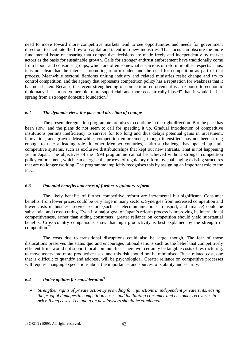need to move toward more competitive markets tend to see opportunities and needs for government direction, to facilitate the flow of capital and talent into new industries. That focus can obscure the more fundamental issue of ensuring that competitive decisions are made freely and independently by market actors as the basis for sustainable growth. Calls for stronger antitrust enforcement have traditionally come from labour and consumer groups, which are often somewhat suspicious of reform in other respects. Thus, it is not clear that the interests promoting reform understand the need for competition as part of that process. Meanwhile sectoral fiefdoms uniting industry and related ministries resist change and try to control competition, and the agency that represents competition policy has a reputation for weakness that it has not shaken. Because the recent strengthening of competition enforcement is a response to economic diplomacy, it is "more vulnerable, more superficial, and more eccentrically biased" than it would be if it sprang from a stronger domestic foundation.<sup>9</sup>

# *6.2 The dynamic view: the pace and direction of change*

 The present deregulation programme promises to continue in the right direction. But the pace has been slow, and the plans do not seem to call for speeding it up. Gradual introduction of competitive institutions permits inefficiency to survive for too long and thus delays potential gains in investment, innovation, and growth. Meanwhile, competition enforcement, though intensified, has not been strong enough to take a leading role. In other Member countries, antitrust challenge has opened up anticompetitive systems, such as exclusive distributorships that kept out new entrants. That is not happening yet in Japan. The objectives of the 1998 programme cannot be achieved without stronger competition policy enforcement, which can energise the process of regulatory reform by challenging existing structures that are no longer working. The programme implicitly recognises this by assigning an important role to the FTC.

# *6.3 Potential benefits and costs of further regulatory reform*

 The likely benefits of further competitive reform are incremental but significant. Consumer benefits, from lower prices, could be very large in many sectors. Synergies from increased competition and lower costs in business service sectors (such as telecommunications, transport, and finance) could be substantial and cross-cutting. Even if a major goal of Japan's reform process is improving its international competitiveness, rather than aiding consumers, greater reliance on competition should yield substantial benefits. Cross-country comparisons show that high productivity is best explained by the strength of competition.92

 The costs due to transitional disruptions could also be large, though. The fear of those dislocations preserves the status quo and encourages rationalisations such as the belief that competitively efficient firms would not support local communities. There will certainly be tangible costs of restructuring, to move assets into more productive uses, and this risk should not be minimised. But a related cost, one that is difficult to quantify and address, will be psychological. Greater reliance on competitive processes will require changing expectations about the importance, and sources, of stability and security.

# *6.4 Policy options for consideration*<sup>93</sup>

 $\bullet$  *Strengthen rights of private action by providing for injunctions in independent private suits, easing the proof of damages in competition cases, and facilitating consumer and customer recoveries in price-fixing cases. The quota on new lawyers should be eliminated.*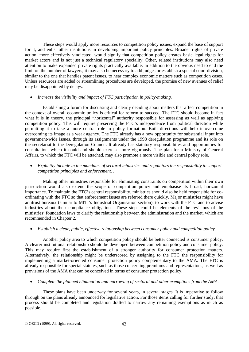These steps would apply more resources to competition policy issues, expand the base of support for it, and enlist other institutions in developing important policy principles. Broader rights of private action, more effectively vindicated, would signify that competition policy creates basic legal rights for market actors and is not just a technical regulatory speciality. Other, related institutions may also need attention to make expanded private rights practically available. In addition to the obvious need to end the limit on the number of lawyers, it may also be necessary to add judges or establish a special court division, similar to the one that handles patent issues, to hear complex economic matters such as competition cases. Unless resources are added or streamlining procedures are developed, the promise of new avenues of relief may be disappointed by delays.

# • Increase the visibility and impact of FTC participation in policy-making.

 Establishing a forum for discussing and clearly deciding about matters that affect competition in the context of overall economic policy is critical for reform to succeed. The FTC should become in fact what it is in theory, the principal "horizontal" authority responsible for assessing as well as applying competition policy. This will require preserving the FTC's independence from political direction while permitting it to take a more central role in policy formation. Both directions will help it overcome overcoming its image as a weak agency. The FTC already has a new opportunity for substantial input into government-wide issues, through its assignments under the 1998 deregulation programme and its role on the secretariat to the Deregulation Council. It already has statutory responsibilities and opportunities for consultation, which it could and should exercise more vigorously. The plan for a Ministry of General Affairs, to which the FTC will be attached, may also promote a more visible and central policy role.

# • Explicitly include in the mandates of sectoral ministries and regulators the responsibility to support *competition principles and enforcement. .*

 Making other ministries responsible for eliminating constraints on competition within their own jurisdiction would also extend the scope of competition policy and emphasise its broad, horizontal importance. To maintain the FTC's central responsibility, ministries should also be held responsible for coordinating with the FTC so that enforcement issues are referred there quickly. Major ministries might have antitrust bureaux (similar to MITI's Industrial Organisation section), to work with the FTC and to advise industries about their compliance obligations. These steps could be elements of the revisions of the ministries' foundation laws to clarify the relationship between the administration and the market, which are recommended in Chapter 2.

# - *Establish a clear, public, effective relationship between consumer policy and competition policy.*

 Another policy area to which competition policy should be better connected is consumer policy. A clearer institutional relationship should be developed between competition policy and consumer policy. This may require first the establishment of a stronger authority for consumer protection matters. Alternatively, the relationship might be underscored by assigning to the FTC the responsibility for implementing a market-oriented consumer protection policy complementary to the AMA. The FTC is already responsible for special statutes, such as those concerning premiums and representations, as well as provisions of the AMA that can be conceived in terms of consumer protection policy.

# • Complete the planned elimination and narrowing of sectoral and other exemptions from the AMA.

 These plans have been underway for several years, in several stages. It is imperative to follow through on the plans already announced for legislative action. For those items calling for further study, that process should be completed and legislation drafted to narrow any remaining exemptions as much as possible.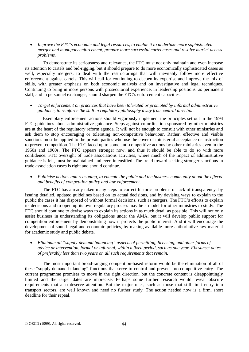• Improve the FTC's economic and legal resources, to enable it to undertake more sophisticated *merger and monopoly enforcement, prepare more successful cartel cases and resolve market access problems.* 

 To demonstrate its seriousness and relevance, the FTC must not only maintain and even increase its attention to cartels and bid-rigging, but it should prepare to do more economically sophisticated cases as well, especially mergers, to deal with the restructurings that will inevitably follow more effective enforcement against cartels. This will call for continuing to deepen its expertise and improve the mix of skills, with greater emphasis on both economic analysis and on investigative and legal techniques. Continuing to bring in more persons with prosecutorial experience, in leadership positions, as permanent staff, and in personnel exchanges, should sharpen the FTC's enforcement capacities.

 $\bullet$  *Target enforcement on practices that have been tolerated or promoted by informal administrative guidance, to reinforce the shift in regulatory philosophy away from central direction.* 

 Exemplary enforcement actions should vigorously implement the principles set out in the 1994 FTC guidelines about administrative guidance. Steps against co-ordination sponsored by other ministries are at the heart of the regulatory reform agenda. It will not be enough to consult with other ministries and ask them to stop encouraging or tolerating non-competitive behaviour. Rather, effective and visible sanctions must be applied to the private parties who use the cover of ministerial acceptance or instruction to prevent competition. The FTC faced up to some anti-competitive actions by other ministries even in the 1950s and 1960s. The FTC appears stronger now, and thus it should be able to do so with more confidence. FTC oversight of trade associations activities, where much of the impact of administrative guidance is felt, must be maintained and even intensified. The trend toward seeking stronger sanctions in trade association cases is right and should continue.

 $\bullet$  *Publicise actions and reasoning, to educate the public and the business community about the effects and benefits of competition policy and law enforcement.* 

 The FTC has already taken many steps to correct historic problems of lack of transparency, by issuing detailed, updated guidelines based on its actual decisions, and by devising ways to explain to the public the cases it has disposed of without formal decisions, such as mergers. The FTC's efforts to explain its decisions and to open up its own regulatory process may be a model for other ministries to study. The FTC should continue to devise ways to explain its actions in as much detail as possible. This will not only assist business in understanding its obligations under the AMA, but it will develop public support for competition enforcement by demonstrating how it protects the public interest. And it will encourage the development of sound legal and economic policies, by making available more authoritative raw material for academic study and public debate.

 $\bullet$  *Eliminate all "supply-demand balancing" aspects of permitting, licensing, and other forms of advice or intervention, formal or informal, within a fixed period, such as one year. Fix sunset dates of preferably less than two years on all such requirements that remain.* 

 The most important broad-ranging competition-based reform would be the elimination of all of these "supply-demand balancing" functions that serve to control and prevent pro-competitive entry. The current programme promises to move in the right direction, but the concrete content is disappointingly limited and the target dates are imprecise. Perhaps some further research would reveal obscure requirements that also deserve attention. But the major ones, such as those that still limit entry into transport sectors, are well known and need no further study. The action needed now is a firm, short deadline for their repeal.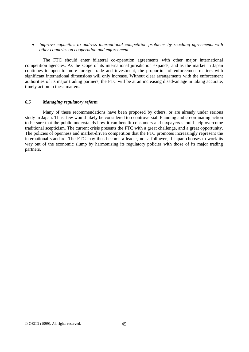- *Improve capacities to address international competition problems by reaching agreements with other countries on cooperation and enforcement* 

 The FTC should enter bilateral co-operation agreements with other major international competition agencies. As the scope of its international jurisdiction expands, and as the market in Japan continues to open to more foreign trade and investment, the proportion of enforcement matters with significant international dimensions will only increase. Without clear arrangements with the enforcement authorities of its major trading partners, the FTC will be at an increasing disadvantage in taking accurate, timely action in these matters.

#### *6.5 Managing regulatory reform*

 Many of these recommendations have been proposed by others, or are already under serious study in Japan. Thus, few would likely be considered too controversial. Planning and co-ordinating action to be sure that the public understands how it can benefit consumers and taxpayers should help overcome traditional scepticism. The current crisis presents the FTC with a great challenge, and a great opportunity. The policies of openness and market-driven competition that the FTC promotes increasingly represent the international standard. The FTC may thus become a leader, not a follower, if Japan chooses to work its way out of the economic slump by harmonising its regulatory policies with those of its major trading partners.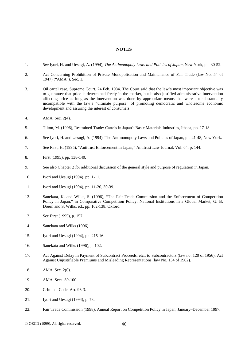#### **NOTES**

- 1. *See* Iyori, H. and Uesugi, A. (1994), *The Antimonopoly Laws and Policies of Japan*, New York, pp. 30-52.
- 2. Act Concerning Prohibition of Private Monopolisation and Maintenance of Fair Trade (law No. 54 of 1947) ("AMA"), Sec. 1.
- 3. Oil cartel case, Supreme Court, 24 Feb. 1984. The Court said that the law's most important objective was to guarantee that price is determined freely in the market, but it also justified administrative intervention affecting price as long as the intervention was done by appropriate means that were not substantially incompatible with the law's "ultimate purpose" of promoting democratic and wholesome economic development and assuring the interest of consumers.
- 4. AMA, Sec. 2(4).
- 5. Tilton, M. (1996), Restrained Trade: Cartels in Japan's Basic Materials Industries, Ithaca, pp. 17-18.
- 6. See Iyori, H. and Uesugi, A. (1994), The Antimonopoly Laws and Policies of Japan, pp. 41-48, New York.
- 7. See First, H. (1995), "Antitrust Enforcement in Japan," Antitrust Law Journal, Vol. 64, p. 144.
- 8. First (1995), pp. 138-140.
- 9. See also Chapter 2 for additional discussion of the general style and purpose of regulation in Japan.
- 10. Iyori and Uesugi (1994), pp. 1-11.
- 11. Iyori and Uesugi (1994), pp. 11-20, 30-39.
- 12. Sanekata, K. and Wilks, S. (1996), "The Fair Trade Commission and the Enforcement of Competition Policy in Japan," in Comparative Competition Policy: National Institutions in a Global Market, G. B. Doern and S. Wilks, ed., pp. 102-138, Oxford.
- 13. See First (1995), p. 157.
- 14. Sanekata and Wilks (1996).
- 15. Iyori and Uesugi (1994), pp. 215-16.
- 16. Sanekata and Wilks (1996), p. 102.
- 17. Act Against Delay in Payment of Subcontract Proceeds, etc., to Subcontractors (law no. 120 of 1956); Act Against Unjustifiable Premiums and Misleading Representations (law No. 134 of 1962).
- 18. AMA, Sec. 2(6).
- 19. AMA, Secs. 89-100.
- 20. Criminal Code, Art. 96-3.
- 21. Iyori and Uesugi (1994), p. 73.
- 22. Fair Trade Commission (1998), Annual Report on Competition Policy in Japan, January–December 1997.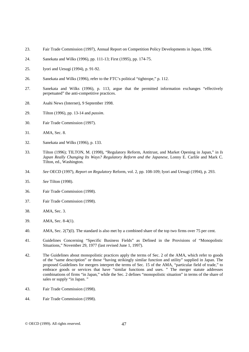- 23. Fair Trade Commission (1997), Annual Report on Competition Policy Developments in Japan, 1996.
- 24. Sanekata and Wilks (1996), pp. 111-13; First (1995), pp. 174-75.
- 25. Iyori and Uesugi (1994), p. 91-92.
- 26. Sanekata and Wilks (1996), refer to the FTC's political "tightrope," p. 112.
- 27. Sanekata and Wilks (1996), p. 113, argue that the permitted information exchanges "effectively perpetuated" the anti-competitive practices.
- 28. Asahi News (Internet), 9 September 1998.
- 29. Tilton (1996), pp. 13-14 and *passim*.
- 30. Fair Trade Commission (1997).
- 31. AMA, Sec. 8.
- 32. Sanekata and Wilks (1996), p. 133.
- 33. Tilton (1996); TILTON, M. (1998), "Regulatory Reform, Antitrust, and Market Opening in Japan," in *Is Japan Really Changing Its Ways? Regulatory Reform and the Japanese*, Lonny E. Carlile and Mark C. Tilton, ed., Washington.
- 34. *See* OECD (1997), *Report on Regulatory* Reform, vol. 2, pp. 108-109; Iyori and Uesugi (1994), p. 293.
- 35. *See* Tilton (1998).
- 36. Fair Trade Commission (1998).
- 37. Fair Trade Commission (1998).
- 38. AMA, Sec. 3.
- 39. AMA, Sec. 8-4(1).
- 40. AMA, Sec. 2(7)(I). The standard is also met by a combined share of the top two firms over 75 per cent.
- 41. Guidelines Concerning "Specific Business Fields" as Defined in the Provisions of "Monopolistic Situations," November 29, 1977 (last revised June 1, 1997).
- 42. The Guidelines about monopolistic practices apply the terms of Sec. 2 of the AMA, which refer to goods of the "same description" or those "having strikingly similar function and utility" supplied in Japan. The proposed Guidelines for mergers interpret the terms of Sec. 15 of the AMA, "particular field of trade," to embrace goods or services that have "similar functions and uses. " The merger statute addresses combinations of firms "in Japan," while the Sec. 2 defines "monopolistic situation" in terms of the share of sales or supply "in Japan."
- 43. Fair Trade Commission (1998).
- 44. Fair Trade Commission (1998).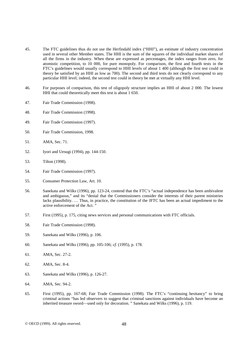- 45. The FTC guidelines thus do not use the Herfindahl index ("HHI"), an estimate of industry concentration used in several other Member states. The HHI is the sum of the squares of the individual market shares of all the firms in the industry. When these are expressed as percentages, the index ranges from zero, for atomistic competition, to 10 000, for pure monopoly. For comparison, the first and fourth tests in the FTC's guidelines would usually correspond to HHI levels of about 1 400 (although the first test could in theory be satisfied by an HHI as low as 700). The second and third tests do not clearly correspond to any particular HHI level; indeed, the second test could in theory be met at virtually any HHI level.
- 46. For purposes of comparison, this test of oligopoly structure implies an HHI of about 2 000. The lowest HHI that could theoretically meet this test is about 1 650.
- 47. Fair Trade Commission (1998).
- 48. Fair Trade Commission (1998).
- 49. Fair Trade Commission (1997).
- 50. Fair Trade Commission, 1998.
- 51. AMA, Sec. 71.
- 52. Iyori and Uesugi (1994), pp. 144-150.
- 53. Tilton (1998).
- 54. Fair Trade Commission (1997).
- 55. Consumer Protection Law, Art. 10.
- 56. Sanekata and Wilks (1996), pp. 123-24, contend that the FTC's "actual independence has been ambivalent and ambiguous," and its "denial that the Commissioners consider the interests of their parent ministries lacks plausibility. … Thus, in practice, the constitution of the JFTC has been an actual impediment to the active enforcement of the Act. "
- 57. First (1995), p. 175, citing news services and personal communications with FTC officials.
- 58. Fair Trade Commission (1998).
- 59. Sanekata and Wilks (1996), p. 106.
- 60. Sanekata and Wilks (1996), pp. 105-106; *cf*. (1995), p. 178.
- 61. AMA, Sec. 27-2.
- 62. AMA, Sec. 8-4.
- 63. Sanekata and Wilks (1996), p. 126-27.
- 64. AMA, Sec. 94-2.
- 65. First (1995), pp. 167-68; Fair Trade Commission (1998). The FTC's "continuing hesitancy" to bring criminal actions "has led observers to suggest that criminal sanctions against individuals have become an inherited treasure sword—used only for decoration. " Sanekata and Wilks (1996), p. 119.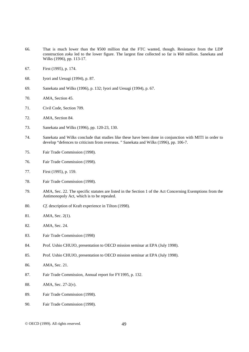- 66. That is much lower than the ¥500 million that the FTC wanted, though. Resistance from the LDP construction *zoku* led to the lower figure. The largest fine collected so far is ¥60 million. Sanekata and Wilks (1996), pp. 113-17.
- 67. First (1995), p. 174.
- 68. Iyori and Uesugi (1994), p. 87.
- 69. Sanekata and Wilks (1996), p. 132; Iyori and Uesugi (1994), p. 67.
- 70. AMA, Section 45.
- 71. Civil Code, Section 709.
- 72. AMA, Section 84.
- 73. Sanekata and Wilks (1996), pp. 120-23, 130.
- 74. Sanekata and Wilks conclude that studies like these have been done in conjunction with MITI in order to develop "defences to criticism from overseas. " Sanekata and Wilks (1996), pp. 106-7.
- 75. Fair Trade Commission (1998).
- 76. Fair Trade Commission (1998).
- 77. First (1995), p. 159.
- 78. Fair Trade Commission (1998).
- 79. AMA, Sec. 22. The specific statutes are listed in the Section 1 of the Act Concerning Exemptions from the Antimonopoly Act, which is to be repealed.
- 80. *Cf*. description of Kraft experience in Tilton (1998).
- 81. AMA, Sec. 2(1).
- 82. AMA, Sec. 24.
- 83. Fair Trade Commission (1998)
- 84. Prof. Ushio CHUJO, presentation to OECD mission seminar at EPA (July 1998).
- 85. Prof. Ushio CHUJO, presentation to OECD mission seminar at EPA (July 1998).
- 86. AMA, Sec. 21.
- 87. Fair Trade Commission, Annual report for FY1995, p. 132.
- 88. AMA, Sec. 27-2(v).
- 89. Fair Trade Commission (1998).
- 90. Fair Trade Commission (1998).